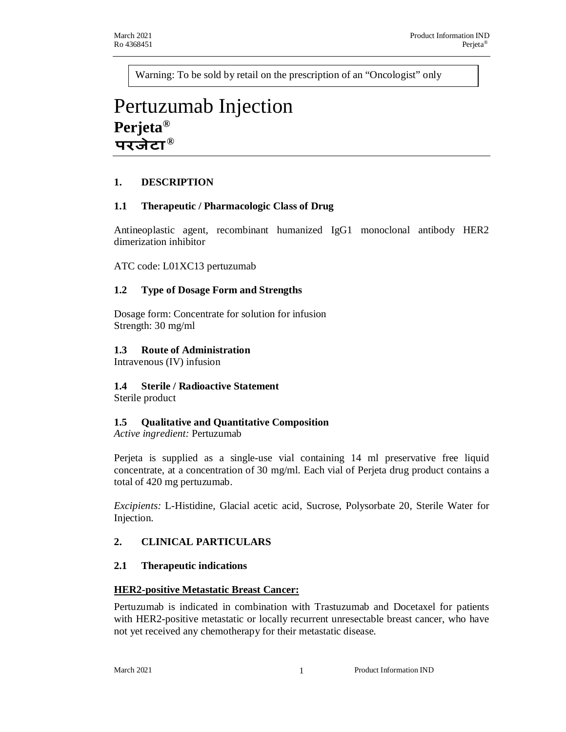Warning: To be sold by retail on the prescription of an "Oncologist" only

# Pertuzumab Injection **Perjeta® ®**

## **1. DESCRIPTION**

## **1.1 Therapeutic / Pharmacologic Class of Drug**

Antineoplastic agent, recombinant humanized IgG1 monoclonal antibody HER2 dimerization inhibitor

ATC code: L01XC13 pertuzumab

## **1.2 Type of Dosage Form and Strengths**

Dosage form: Concentrate for solution for infusion Strength: 30 mg/ml

#### **1.3 Route of Administration**

Intravenous (IV) infusion

## **1.4 Sterile / Radioactive Statement**

Sterile product

## **1.5 Qualitative and Quantitative Composition**

*Active ingredient:* Pertuzumab

Perjeta is supplied as a single-use vial containing 14 ml preservative free liquid concentrate, at a concentration of 30 mg/ml. Each vial of Perjeta drug product contains a total of 420 mg pertuzumab.

*Excipients:* L-Histidine, Glacial acetic acid, Sucrose, Polysorbate 20, Sterile Water for Injection.

## **2. CLINICAL PARTICULARS**

#### **2.1 Therapeutic indications**

#### **HER2-positive Metastatic Breast Cancer:**

Pertuzumab is indicated in combination with Trastuzumab and Docetaxel for patients with HER2-positive metastatic or locally recurrent unresectable breast cancer, who have not yet received any chemotherapy for their metastatic disease.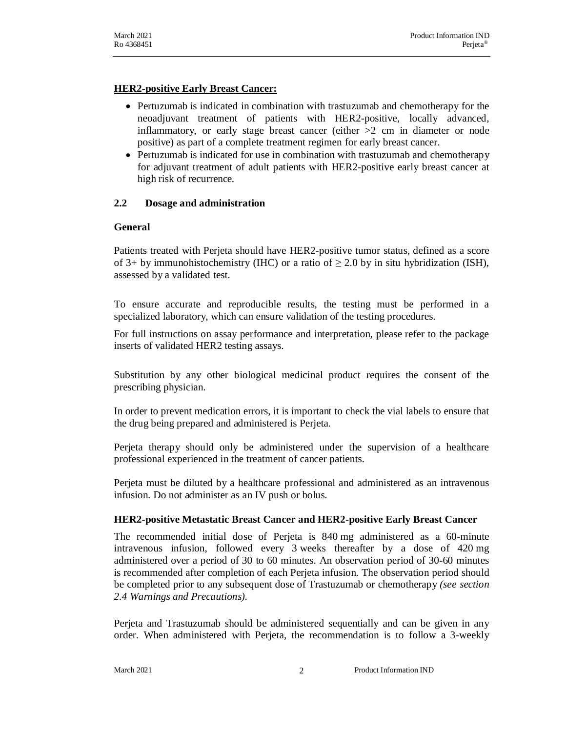## **HER2-positive Early Breast Cancer:**

- · Pertuzumab is indicated in combination with trastuzumab and chemotherapy for the neoadjuvant treatment of patients with HER2-positive, locally advanced, inflammatory, or early stage breast cancer (either  $>2$  cm in diameter or node positive) as part of a complete treatment regimen for early breast cancer.
- · Pertuzumab is indicated for use in combination with trastuzumab and chemotherapy for adjuvant treatment of adult patients with HER2-positive early breast cancer at high risk of recurrence*.*

## **2.2 Dosage and administration**

## **General**

Patients treated with Perjeta should have HER2-positive tumor status, defined as a score of 3+ by immunohistochemistry (IHC) or a ratio of  $\geq$  2.0 by in situ hybridization (ISH), assessed by a validated test.

To ensure accurate and reproducible results, the testing must be performed in a specialized laboratory, which can ensure validation of the testing procedures.

For full instructions on assay performance and interpretation, please refer to the package inserts of validated HER2 testing assays.

Substitution by any other biological medicinal product requires the consent of the prescribing physician.

In order to prevent medication errors, it is important to check the vial labels to ensure that the drug being prepared and administered is Perjeta.

Perjeta therapy should only be administered under the supervision of a healthcare professional experienced in the treatment of cancer patients.

Perjeta must be diluted by a healthcare professional and administered as an intravenous infusion. Do not administer as an IV push or bolus.

## **HER2-positive Metastatic Breast Cancer and HER2-positive Early Breast Cancer**

The recommended initial dose of Perjeta is 840 mg administered as a 60-minute intravenous infusion, followed every 3 weeks thereafter by a dose of 420 mg administered over a period of 30 to 60 minutes. An observation period of 30-60 minutes is recommended after completion of each Perjeta infusion. The observation period should be completed prior to any subsequent dose of Trastuzumab or chemotherapy *(see section 2.4 Warnings and Precautions).*

Perjeta and Trastuzumab should be administered sequentially and can be given in any order. When administered with Perjeta, the recommendation is to follow a 3-weekly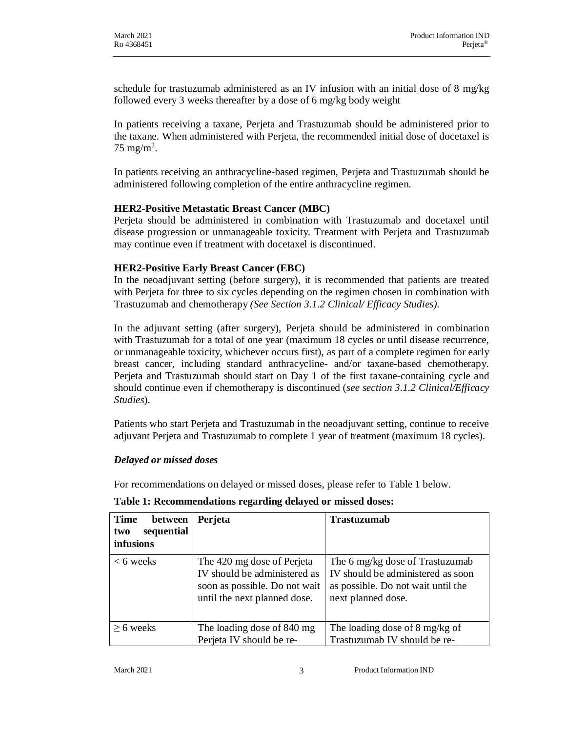schedule for trastuzumab administered as an IV infusion with an initial dose of 8 mg/kg followed every 3 weeks thereafter by a dose of 6 mg/kg body weight

In patients receiving a taxane, Perjeta and Trastuzumab should be administered prior to the taxane. When administered with Perjeta, the recommended initial dose of docetaxel is  $75 \text{ mg/m}^2$ .

In patients receiving an anthracycline-based regimen, Perjeta and Trastuzumab should be administered following completion of the entire anthracycline regimen.

#### **HER2-Positive Metastatic Breast Cancer (MBC)**

Perjeta should be administered in combination with Trastuzumab and docetaxel until disease progression or unmanageable toxicity. Treatment with Perjeta and Trastuzumab may continue even if treatment with docetaxel is discontinued.

#### **HER2-Positive Early Breast Cancer (EBC)**

In the neoadjuvant setting (before surgery), it is recommended that patients are treated with Perjeta for three to six cycles depending on the regimen chosen in combination with Trastuzumab and chemotherapy *(See Section 3.1.2 Clinical/ Efficacy Studies).*

In the adjuvant setting (after surgery), Perjeta should be administered in combination with Trastuzumab for a total of one year (maximum 18 cycles or until disease recurrence, or unmanageable toxicity, whichever occurs first), as part of a complete regimen for early breast cancer, including standard anthracycline- and/or taxane-based chemotherapy. Perjeta and Trastuzumab should start on Day 1 of the first taxane-containing cycle and should continue even if chemotherapy is discontinued (*see section 3.1.2 Clinical/Efficacy Studies*).

Patients who start Perjeta and Trastuzumab in the neoadjuvant setting, continue to receive adjuvant Perjeta and Trastuzumab to complete 1 year of treatment (maximum 18 cycles).

#### *Delayed or missed doses*

For recommendations on delayed or missed doses, please refer to Table 1 below.

| <b>Time</b><br>between<br>sequential<br>two<br>infusions | Perjeta                                                                                                                     | <b>Trastuzumab</b>                                                                                                               |
|----------------------------------------------------------|-----------------------------------------------------------------------------------------------------------------------------|----------------------------------------------------------------------------------------------------------------------------------|
| $<$ 6 weeks                                              | The 420 mg dose of Perjeta<br>IV should be administered as<br>soon as possible. Do not wait<br>until the next planned dose. | The 6 mg/kg dose of Trastuzumab<br>IV should be administered as soon<br>as possible. Do not wait until the<br>next planned dose. |
| $\geq 6$ weeks                                           | The loading dose of 840 mg<br>Perjeta IV should be re-                                                                      | The loading dose of 8 mg/kg of<br>Trastuzumab IV should be re-                                                                   |

#### **Table 1: Recommendations regarding delayed or missed doses:**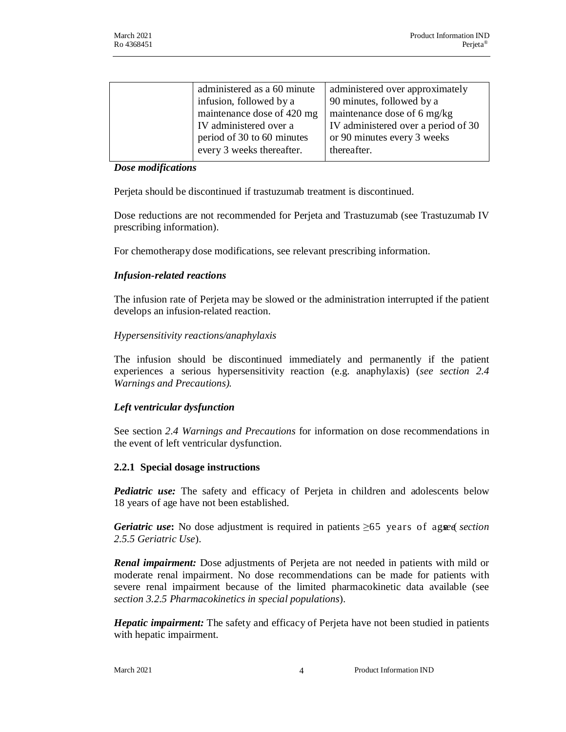| administered as a 60 minute | administered over approximately     |
|-----------------------------|-------------------------------------|
| infusion, followed by a     | 90 minutes, followed by a           |
| maintenance dose of 420 mg  | maintenance dose of 6 mg/kg         |
| IV administered over a      | IV administered over a period of 30 |
| period of 30 to 60 minutes  | or 90 minutes every 3 weeks         |
| every 3 weeks thereafter.   | thereafter.                         |
|                             |                                     |

#### *Dose modifications*

Perjeta should be discontinued if trastuzumab treatment is discontinued.

Dose reductions are not recommended for Perjeta and Trastuzumab (see Trastuzumab IV prescribing information).

For chemotherapy dose modifications, see relevant prescribing information.

#### *Infusion-related reactions*

The infusion rate of Perjeta may be slowed or the administration interrupted if the patient develops an infusion-related reaction.

#### *Hypersensitivity reactions/anaphylaxis*

The infusion should be discontinued immediately and permanently if the patient experiences a serious hypersensitivity reaction (e.g. anaphylaxis) (*see section 2.4 Warnings and Precautions).*

#### *Left ventricular dysfunction*

See section *2.4 Warnings and Precautions* for information on dose recommendations in the event of left ventricular dysfunction.

#### **2.2.1 Special dosage instructions**

*Pediatric use:* The safety and efficacy of Perjeta in children and adolescents below 18 years of age have not been established.

*Geriatric use*: No dose adjustment is required in patients ≥65 years of ageed *section 2.5.5 Geriatric Use*).

*Renal impairment:* Dose adjustments of Perjeta are not needed in patients with mild or moderate renal impairment. No dose recommendations can be made for patients with severe renal impairment because of the limited pharmacokinetic data available (see *section 3.2.5 Pharmacokinetics in special populations*).

*Hepatic impairment:* The safety and efficacy of Perjeta have not been studied in patients with hepatic impairment.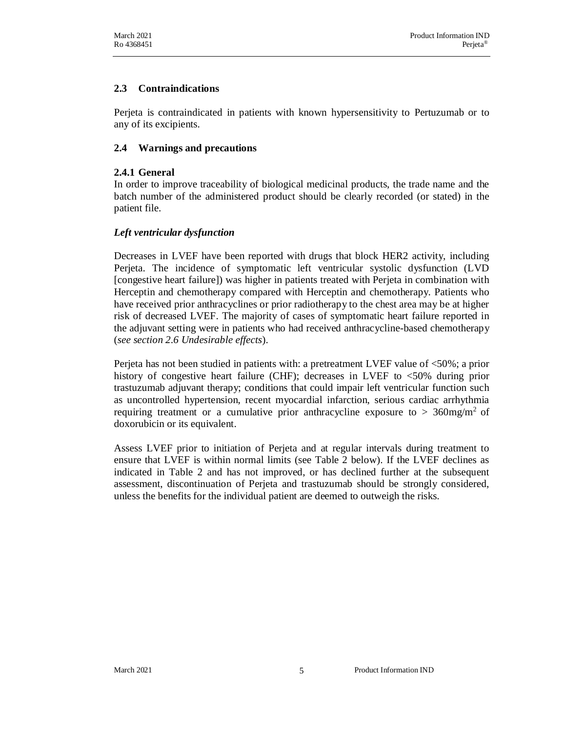## **2.3 Contraindications**

Perjeta is contraindicated in patients with known hypersensitivity to Pertuzumab or to any of its excipients.

#### **2.4 Warnings and precautions**

#### **2.4.1 General**

In order to improve traceability of biological medicinal products, the trade name and the batch number of the administered product should be clearly recorded (or stated) in the patient file.

#### *Left ventricular dysfunction*

Decreases in LVEF have been reported with drugs that block HER2 activity, including Perjeta. The incidence of symptomatic left ventricular systolic dysfunction (LVD [congestive heart failure]) was higher in patients treated with Perjeta in combination with Herceptin and chemotherapy compared with Herceptin and chemotherapy. Patients who have received prior anthracyclines or prior radiotherapy to the chest area may be at higher risk of decreased LVEF. The majority of cases of symptomatic heart failure reported in the adjuvant setting were in patients who had received anthracycline-based chemotherapy (*see section 2.6 Undesirable effects*).

Perjeta has not been studied in patients with: a pretreatment LVEF value of <50%; a prior history of congestive heart failure (CHF); decreases in LVEF to <50% during prior trastuzumab adjuvant therapy; conditions that could impair left ventricular function such as uncontrolled hypertension, recent myocardial infarction, serious cardiac arrhythmia requiring treatment or a cumulative prior anthracycline exposure to  $> 360$ mg/m<sup>2</sup> of doxorubicin or its equivalent.

Assess LVEF prior to initiation of Perjeta and at regular intervals during treatment to ensure that LVEF is within normal limits (see Table 2 below). If the LVEF declines as indicated in Table 2 and has not improved, or has declined further at the subsequent assessment, discontinuation of Perjeta and trastuzumab should be strongly considered, unless the benefits for the individual patient are deemed to outweigh the risks.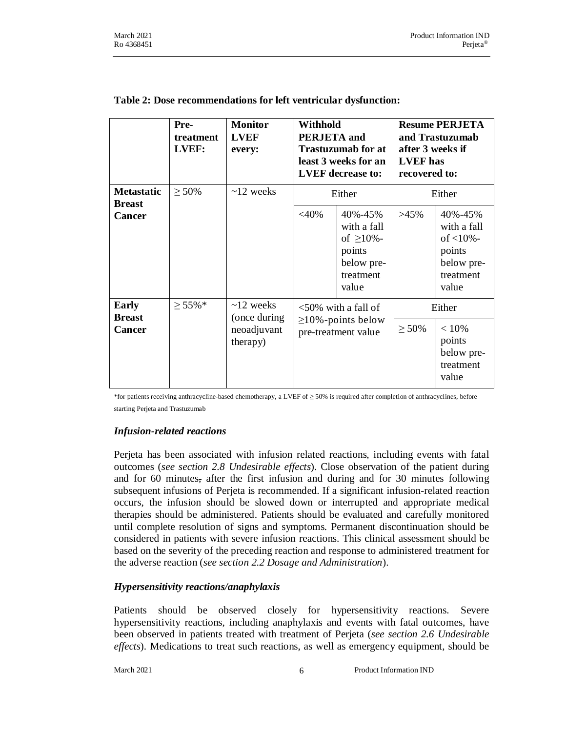|                                    | Pre-<br>treatment<br>LVEF: | <b>Monitor</b><br><b>LVEF</b><br>every: | <b>Withhold</b><br><b>PERJETA</b> and<br>Trastuzumab for at<br>least 3 weeks for an<br><b>LVEF</b> decrease to: |                                                                                          | <b>Resume PERJETA</b><br>and Trastuzumab<br>after 3 weeks if<br><b>LVEF</b> has<br>recovered to: |                                                                                        |
|------------------------------------|----------------------------|-----------------------------------------|-----------------------------------------------------------------------------------------------------------------|------------------------------------------------------------------------------------------|--------------------------------------------------------------------------------------------------|----------------------------------------------------------------------------------------|
| <b>Metastatic</b><br><b>Breast</b> | $\geq 50\%$                | $\sim$ 12 weeks                         |                                                                                                                 | Either                                                                                   | Either                                                                                           |                                                                                        |
| <b>Cancer</b>                      |                            |                                         | $<$ 40%                                                                                                         | 40%-45%<br>with a fall<br>of $\geq 10\%$ -<br>points<br>below pre-<br>treatment<br>value | $>45\%$                                                                                          | 40%-45%<br>with a fall<br>of $<$ 10% $-$<br>points<br>below pre-<br>treatment<br>value |
| <b>Early</b><br><b>Breast</b>      | $\geq 55\%$ *              | $\sim$ 12 weeks<br>(once during         |                                                                                                                 | $<50\%$ with a fall of                                                                   |                                                                                                  | Either                                                                                 |
| <b>Cancer</b>                      |                            | neoadjuvant<br>therapy)                 | $\geq$ 10%-points below<br>pre-treatment value                                                                  |                                                                                          | $\geq 50\%$                                                                                      | < 10%<br>points<br>below pre-<br>treatment<br>value                                    |

#### **Table 2: Dose recommendations for left ventricular dysfunction:**

\*for patients receiving anthracycline-based chemotherapy, a LVEF of ≥ 50% is required after completion of anthracyclines, before starting Perjeta and Trastuzumab

#### *Infusion-related reactions*

Perjeta has been associated with infusion related reactions, including events with fatal outcomes (*see section 2.8 Undesirable effects*). Close observation of the patient during and for 60 minutes, after the first infusion and during and for 30 minutes following subsequent infusions of Perjeta is recommended. If a significant infusion-related reaction occurs, the infusion should be slowed down or interrupted and appropriate medical therapies should be administered. Patients should be evaluated and carefully monitored until complete resolution of signs and symptoms. Permanent discontinuation should be considered in patients with severe infusion reactions. This clinical assessment should be based on the severity of the preceding reaction and response to administered treatment for the adverse reaction (*see section 2.2 Dosage and Administration*).

## *Hypersensitivity reactions/anaphylaxis*

Patients should be observed closely for hypersensitivity reactions. Severe hypersensitivity reactions, including anaphylaxis and events with fatal outcomes, have been observed in patients treated with treatment of Perjeta (*see section 2.6 Undesirable effects*). Medications to treat such reactions, as well as emergency equipment, should be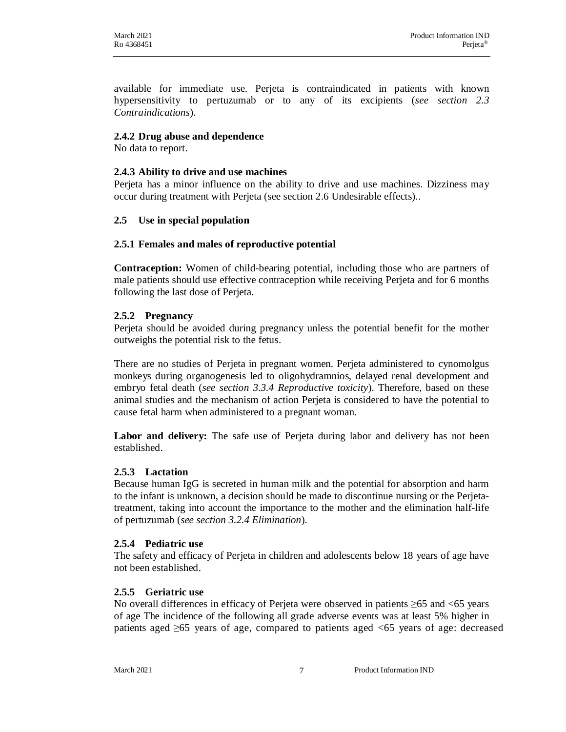available for immediate use. Perjeta is contraindicated in patients with known hypersensitivity to pertuzumab or to any of its excipients (*see section 2.3 Contraindications*).

#### **2.4.2 Drug abuse and dependence**

No data to report.

#### **2.4.3 Ability to drive and use machines**

Perjeta has a minor influence on the ability to drive and use machines. Dizziness may occur during treatment with Perjeta (see section 2.6 Undesirable effects)..

#### **2.5 Use in special population**

#### **2.5.1 Females and males of reproductive potential**

**Contraception:** Women of child-bearing potential, including those who are partners of male patients should use effective contraception while receiving Perjeta and for 6 months following the last dose of Perjeta.

#### **2.5.2 Pregnancy**

Perjeta should be avoided during pregnancy unless the potential benefit for the mother outweighs the potential risk to the fetus.

There are no studies of Perjeta in pregnant women. Perjeta administered to cynomolgus monkeys during organogenesis led to oligohydramnios, delayed renal development and embryo fetal death (*see section 3.3.4 Reproductive toxicity*). Therefore, based on these animal studies and the mechanism of action Perjeta is considered to have the potential to cause fetal harm when administered to a pregnant woman.

**Labor and delivery:** The safe use of Perjeta during labor and delivery has not been established.

#### **2.5.3 Lactation**

Because human IgG is secreted in human milk and the potential for absorption and harm to the infant is unknown, a decision should be made to discontinue nursing or the Perjetatreatment, taking into account the importance to the mother and the elimination half-life of pertuzumab (*see section 3.2.4 Elimination*).

#### **2.5.4 Pediatric use**

The safety and efficacy of Perjeta in children and adolescents below 18 years of age have not been established.

#### **2.5.5 Geriatric use**

No overall differences in efficacy of Perjeta were observed in patients ≥65 and <65 years of age The incidence of the following all grade adverse events was at least 5% higher in patients aged ≥65 years of age, compared to patients aged <65 years of age: decreased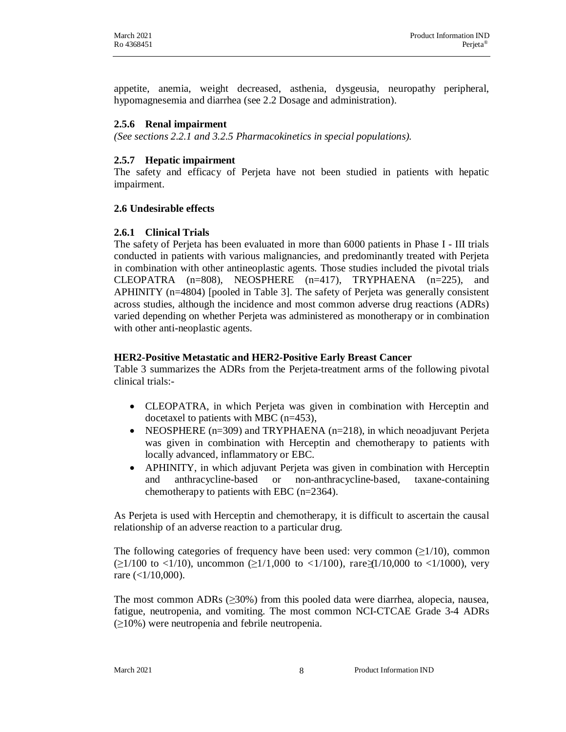appetite, anemia, weight decreased, asthenia, dysgeusia, neuropathy peripheral, hypomagnesemia and diarrhea (see 2.2 Dosage and administration).

#### **2.5.6 Renal impairment**

*(See sections 2.2.1 and 3.2.5 Pharmacokinetics in special populations).*

#### **2.5.7 Hepatic impairment**

The safety and efficacy of Perjeta have not been studied in patients with hepatic impairment.

#### **2.6 Undesirable effects**

#### **2.6.1 Clinical Trials**

The safety of Perjeta has been evaluated in more than 6000 patients in Phase I - III trials conducted in patients with various malignancies, and predominantly treated with Perjeta in combination with other antineoplastic agents. Those studies included the pivotal trials CLEOPATRA  $(n=808)$ , NEOSPHERE  $(n=417)$ , TRYPHAENA  $(n=225)$ , and APHINITY (n=4804) [pooled in Table 3]. The safety of Perjeta was generally consistent across studies, although the incidence and most common adverse drug reactions (ADRs) varied depending on whether Perjeta was administered as monotherapy or in combination with other anti-neoplastic agents.

#### **HER2-Positive Metastatic and HER2-Positive Early Breast Cancer**

Table 3 summarizes the ADRs from the Perjeta-treatment arms of the following pivotal clinical trials:-

- CLEOPATRA, in which Perjeta was given in combination with Herceptin and docetaxel to patients with MBC (n=453),
- NEOSPHERE  $(n=309)$  and TRYPHAENA  $(n=218)$ , in which neoadjuvant Perjeta was given in combination with Herceptin and chemotherapy to patients with locally advanced, inflammatory or EBC.
- APHINITY, in which adjuvant Perjeta was given in combination with Herceptin and anthracycline-based or non-anthracycline-based, taxane-containing chemotherapy to patients with EBC (n=2364).

As Perjeta is used with Herceptin and chemotherapy, it is difficult to ascertain the causal relationship of an adverse reaction to a particular drug.

The following categories of frequency have been used: very common  $(\geq 1/10)$ , common  $(\geq 1/100$  to <1/10), uncommon  $(\geq 1/1,000$  to <1/100), rare (1/10,000 to <1/1000), very rare  $(<1/10,000)$ .

The most common ADRs  $(\geq 30\%)$  from this pooled data were diarrhea, alopecia, nausea, fatigue, neutropenia, and vomiting. The most common NCI-CTCAE Grade 3-4 ADRs (≥10%) were neutropenia and febrile neutropenia.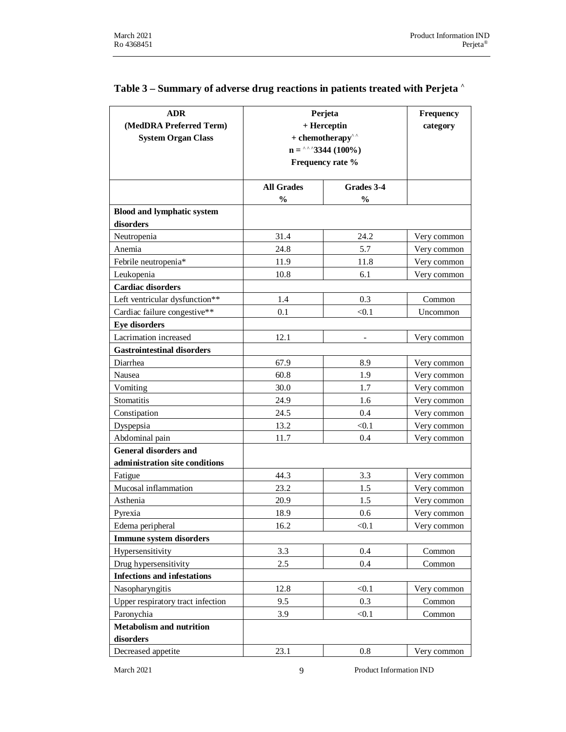| <b>ADR</b><br>(MedDRA Preferred Term) | Perjeta<br>+ Herceptin |                                                 | Frequency<br>category |
|---------------------------------------|------------------------|-------------------------------------------------|-----------------------|
| <b>System Organ Class</b>             |                        | $+$ chemotherapy <sup><math>\wedge</math></sup> |                       |
|                                       |                        | $n =$ <sup>^^</sup> 3344 (100%)                 |                       |
|                                       |                        | Frequency rate %                                |                       |
|                                       | <b>All Grades</b>      | Grades 3-4                                      |                       |
|                                       | $\frac{0}{0}$          | $\frac{0}{0}$                                   |                       |
| <b>Blood and lymphatic system</b>     |                        |                                                 |                       |
| disorders                             |                        |                                                 |                       |
| Neutropenia                           | 31.4                   | 24.2                                            | Very common           |
| Anemia                                | 24.8                   | 5.7                                             | Very common           |
| Febrile neutropenia*                  | 11.9                   | 11.8                                            | Very common           |
| Leukopenia                            | 10.8                   | 6.1                                             | Very common           |
| <b>Cardiac disorders</b>              |                        |                                                 |                       |
| Left ventricular dysfunction**        | 1.4                    | 0.3                                             | Common                |
| Cardiac failure congestive**          | 0.1                    | < 0.1                                           | Uncommon              |
| <b>Eye disorders</b>                  |                        |                                                 |                       |
| Lacrimation increased                 | 12.1                   |                                                 | Very common           |
| <b>Gastrointestinal disorders</b>     |                        |                                                 |                       |
| Diarrhea                              | 67.9                   | 8.9                                             | Very common           |
| Nausea                                | 60.8                   | 1.9                                             | Very common           |
| Vomiting                              | 30.0                   | 1.7                                             | Very common           |
| <b>Stomatitis</b>                     | 24.9                   | 1.6                                             | Very common           |
| Constipation                          | 24.5                   | 0.4                                             | Very common           |
| Dyspepsia                             | 13.2                   | < 0.1                                           | Very common           |
| Abdominal pain                        | 11.7                   | 0.4                                             | Very common           |
| <b>General disorders and</b>          |                        |                                                 |                       |
| administration site conditions        |                        |                                                 |                       |
| Fatigue                               | 44.3                   | 3.3                                             | Very common           |
| Mucosal inflammation                  | 23.2                   | 1.5                                             | Very common           |
| Asthenia                              | 20.9                   | 1.5                                             | Very common           |
| Pyrexia                               | 18.9                   | 0.6                                             | Very common           |
| Edema peripheral                      | 16.2                   | < 0.1                                           | Very common           |
| <b>Immune system disorders</b>        |                        |                                                 |                       |
| Hypersensitivity                      | 3.3                    | 0.4                                             | Common                |
| Drug hypersensitivity                 | 2.5                    | 0.4                                             | Common                |
| <b>Infections and infestations</b>    |                        |                                                 |                       |
| Nasopharyngitis                       | 12.8                   | < 0.1                                           | Very common           |
| Upper respiratory tract infection     | 9.5                    | 0.3                                             | Common                |
| Paronychia                            | 3.9                    | < 0.1                                           | Common                |
| <b>Metabolism and nutrition</b>       |                        |                                                 |                       |
| disorders                             |                        |                                                 |                       |
| Decreased appetite                    | 23.1                   | 0.8                                             | Very common           |

## **Table 3 – Summary of adverse drug reactions in patients treated with Perjeta ^**

March 2021 9 Product Information IND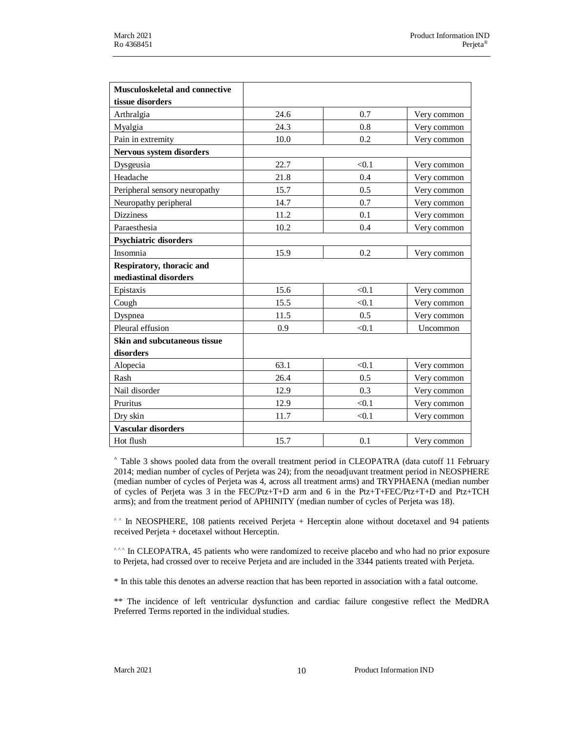| <b>Musculoskeletal and connective</b> |      |       |             |
|---------------------------------------|------|-------|-------------|
| tissue disorders                      |      |       |             |
| Arthralgia                            | 24.6 | 0.7   | Very common |
| Myalgia                               | 24.3 | 0.8   | Very common |
| Pain in extremity                     | 10.0 | 0.2   | Very common |
| Nervous system disorders              |      |       |             |
| Dysgeusia                             | 22.7 | < 0.1 | Very common |
| Headache                              | 21.8 | 0.4   | Very common |
| Peripheral sensory neuropathy         | 15.7 | 0.5   | Very common |
| Neuropathy peripheral                 | 14.7 | 0.7   | Very common |
| <b>Dizziness</b>                      | 11.2 | 0.1   | Very common |
| Paraesthesia                          | 10.2 | 0.4   | Very common |
| Psychiatric disorders                 |      |       |             |
| Insomnia                              | 15.9 | 0.2   | Very common |
| Respiratory, thoracic and             |      |       |             |
| mediastinal disorders                 |      |       |             |
| Epistaxis                             | 15.6 | < 0.1 | Very common |
| Cough                                 | 15.5 | < 0.1 | Very common |
| Dyspnea                               | 11.5 | 0.5   | Very common |
| Pleural effusion                      | 0.9  | < 0.1 | Uncommon    |
| Skin and subcutaneous tissue          |      |       |             |
| disorders                             |      |       |             |
| Alopecia                              | 63.1 | < 0.1 | Very common |
| Rash                                  | 26.4 | 0.5   | Very common |
| Nail disorder                         | 12.9 | 0.3   | Very common |
| Pruritus                              | 12.9 | < 0.1 | Very common |
| Dry skin                              | 11.7 | < 0.1 | Very common |
| <b>Vascular disorders</b>             |      |       |             |
| Hot flush                             | 15.7 | 0.1   | Very common |

**^** Table 3 shows pooled data from the overall treatment period in CLEOPATRA (data cutoff 11 February 2014; median number of cycles of Perjeta was 24); from the neoadjuvant treatment period in NEOSPHERE (median number of cycles of Perjeta was 4, across all treatment arms) and TRYPHAENA (median number of cycles of Perjeta was 3 in the FEC/Ptz+T+D arm and 6 in the Ptz+T+FEC/Ptz+T+D and Ptz+TCH arms); and from the treatment period of APHINITY (median number of cycles of Perjeta was 18).

^ ^ In NEOSPHERE, 108 patients received Perjeta + Herceptin alone without docetaxel and 94 patients received Perjeta + docetaxel without Herceptin.

<sup>^^</sup> In CLEOPATRA, 45 patients who were randomized to receive placebo and who had no prior exposure to Perjeta, had crossed over to receive Perjeta and are included in the 3344 patients treated with Perjeta.

\* In this table this denotes an adverse reaction that has been reported in association with a fatal outcome.

\*\* The incidence of left ventricular dysfunction and cardiac failure congestive reflect the MedDRA Preferred Terms reported in the individual studies.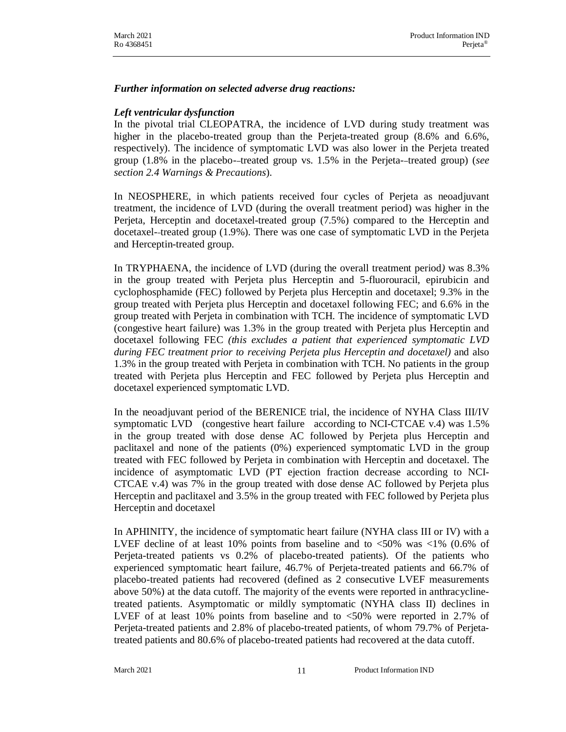#### *Further information on selected adverse drug reactions:*

#### *Left ventricular dysfunction*

In the pivotal trial CLEOPATRA, the incidence of LVD during study treatment was higher in the placebo-treated group than the Perjeta-treated group (8.6% and 6.6%, respectively). The incidence of symptomatic LVD was also lower in the Perjeta treated group (1.8% in the placebo- treated group vs. 1.5% in the Perjeta- treated group) (*see section 2.4 Warnings & Precautions*).

In NEOSPHERE, in which patients received four cycles of Perjeta as neoadjuvant treatment, the incidence of LVD (during the overall treatment period) was higher in the Perjeta, Herceptin and docetaxel-treated group (7.5%) compared to the Herceptin and docetaxel- treated group (1.9%). There was one case of symptomatic LVD in the Perjeta and Herceptin-treated group.

In TRYPHAENA, the incidence of LVD (during the overall treatment period*)* was 8.3% in the group treated with Perjeta plus Herceptin and 5-fluorouracil, epirubicin and cyclophosphamide (FEC) followed by Perjeta plus Herceptin and docetaxel; 9.3% in the group treated with Perjeta plus Herceptin and docetaxel following FEC; and 6.6% in the group treated with Perjeta in combination with TCH. The incidence of symptomatic LVD (congestive heart failure) was 1.3% in the group treated with Perjeta plus Herceptin and docetaxel following FEC *(this excludes a patient that experienced symptomatic LVD during FEC treatment prior to receiving Perjeta plus Herceptin and docetaxel)* and also 1.3% in the group treated with Perjeta in combination with TCH. No patients in the group treated with Perjeta plus Herceptin and FEC followed by Perjeta plus Herceptin and docetaxel experienced symptomatic LVD.

In the neoadjuvant period of the BERENICE trial, the incidence of NYHA Class III/IV symptomatic LVD (congestive heart failure according to NCI-CTCAE v.4) was 1.5% in the group treated with dose dense AC followed by Perjeta plus Herceptin and paclitaxel and none of the patients (0%) experienced symptomatic LVD in the group treated with FEC followed by Perjeta in combination with Herceptin and docetaxel. The incidence of asymptomatic LVD (PT ejection fraction decrease according to NCI-CTCAE v.4) was 7% in the group treated with dose dense AC followed by Perjeta plus Herceptin and paclitaxel and 3.5% in the group treated with FEC followed by Perjeta plus Herceptin and docetaxel

In APHINITY, the incidence of symptomatic heart failure (NYHA class III or IV) with a LVEF decline of at least 10% points from baseline and to <50% was <1% (0.6% of Perjeta-treated patients vs 0.2% of placebo-treated patients). Of the patients who experienced symptomatic heart failure, 46.7% of Perjeta-treated patients and 66.7% of placebo-treated patients had recovered (defined as 2 consecutive LVEF measurements above 50%) at the data cutoff. The majority of the events were reported in anthracyclinetreated patients. Asymptomatic or mildly symptomatic (NYHA class II) declines in LVEF of at least 10% points from baseline and to <50% were reported in 2.7% of Perjeta-treated patients and 2.8% of placebo-treated patients, of whom 79.7% of Perjetatreated patients and 80.6% of placebo-treated patients had recovered at the data cutoff.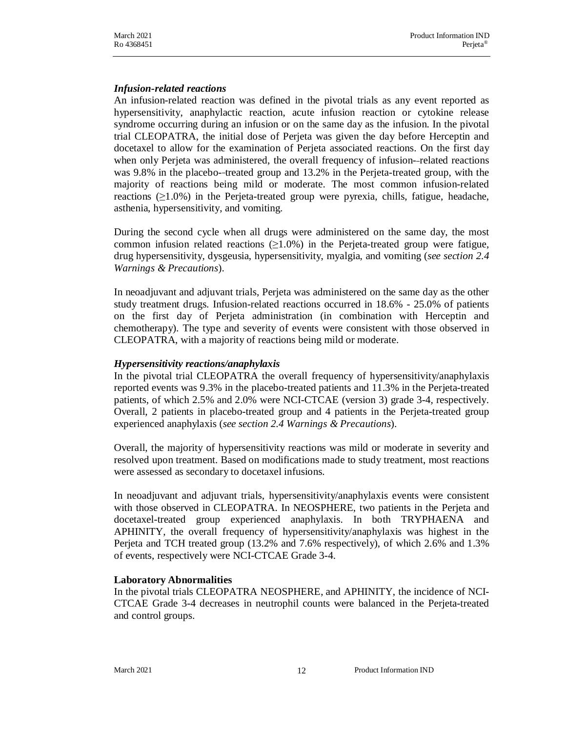#### *Infusion-related reactions*

An infusion-related reaction was defined in the pivotal trials as any event reported as hypersensitivity, anaphylactic reaction, acute infusion reaction or cytokine release syndrome occurring during an infusion or on the same day as the infusion. In the pivotal trial CLEOPATRA, the initial dose of Perjeta was given the day before Herceptin and docetaxel to allow for the examination of Perjeta associated reactions. On the first day when only Perjeta was administered, the overall frequency of infusion--related reactions was 9.8% in the placebo--treated group and 13.2% in the Perjeta-treated group, with the majority of reactions being mild or moderate. The most common infusion-related reactions  $(\geq 1.0\%)$  in the Perjeta-treated group were pyrexia, chills, fatigue, headache, asthenia, hypersensitivity, and vomiting.

During the second cycle when all drugs were administered on the same day, the most common infusion related reactions  $(\geq 1.0\%)$  in the Perjeta-treated group were fatigue, drug hypersensitivity, dysgeusia, hypersensitivity, myalgia, and vomiting (*see section 2.4 Warnings & Precautions*).

In neoadjuvant and adjuvant trials, Perjeta was administered on the same day as the other study treatment drugs. Infusion-related reactions occurred in 18.6% - 25.0% of patients on the first day of Perjeta administration (in combination with Herceptin and chemotherapy). The type and severity of events were consistent with those observed in CLEOPATRA, with a majority of reactions being mild or moderate.

#### *Hypersensitivity reactions/anaphylaxis*

In the pivotal trial CLEOPATRA the overall frequency of hypersensitivity/anaphylaxis reported events was 9.3% in the placebo-treated patients and 11.3% in the Perjeta-treated patients, of which 2.5% and 2.0% were NCI-CTCAE (version 3) grade 3-4, respectively. Overall, 2 patients in placebo-treated group and 4 patients in the Perjeta-treated group experienced anaphylaxis (*see section 2.4 Warnings & Precautions*).

Overall, the majority of hypersensitivity reactions was mild or moderate in severity and resolved upon treatment. Based on modifications made to study treatment, most reactions were assessed as secondary to docetaxel infusions.

In neoadjuvant and adjuvant trials, hypersensitivity/anaphylaxis events were consistent with those observed in CLEOPATRA. In NEOSPHERE, two patients in the Perjeta and docetaxel-treated group experienced anaphylaxis. In both TRYPHAENA and APHINITY, the overall frequency of hypersensitivity/anaphylaxis was highest in the Perjeta and TCH treated group (13.2% and 7.6% respectively), of which 2.6% and 1.3% of events, respectively were NCI-CTCAE Grade 3-4.

#### **Laboratory Abnormalities**

In the pivotal trials CLEOPATRA NEOSPHERE, and APHINITY, the incidence of NCI-CTCAE Grade 3-4 decreases in neutrophil counts were balanced in the Perjeta-treated and control groups.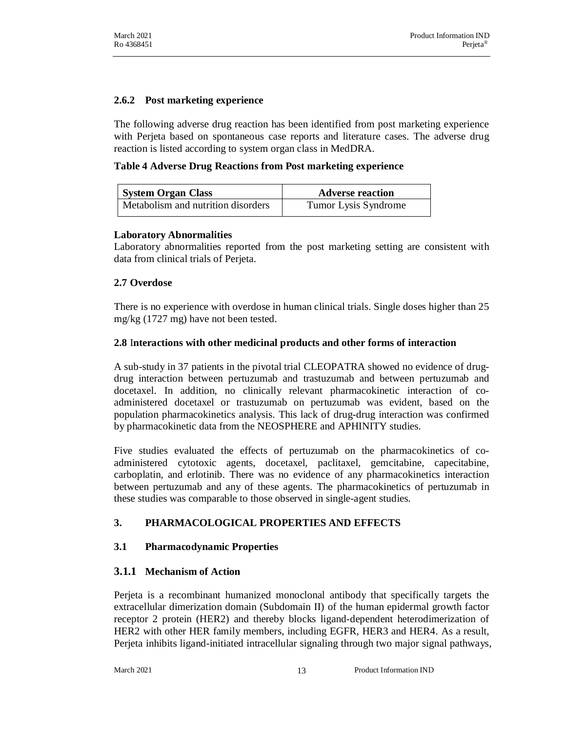#### **2.6.2 Post marketing experience**

The following adverse drug reaction has been identified from post marketing experience with Perjeta based on spontaneous case reports and literature cases. The adverse drug reaction is listed according to system organ class in MedDRA.

**Table 4 Adverse Drug Reactions from Post marketing experience**

| <b>System Organ Class</b>          | <b>Adverse reaction</b> |
|------------------------------------|-------------------------|
| Metabolism and nutrition disorders | Tumor Lysis Syndrome    |

#### **Laboratory Abnormalities**

Laboratory abnormalities reported from the post marketing setting are consistent with data from clinical trials of Perjeta.

## **2.7 Overdose**

There is no experience with overdose in human clinical trials. Single doses higher than 25 mg/kg (1727 mg) have not been tested.

## **2.8** I**nteractions with other medicinal products and other forms of interaction**

A sub-study in 37 patients in the pivotal trial CLEOPATRA showed no evidence of drugdrug interaction between pertuzumab and trastuzumab and between pertuzumab and docetaxel. In addition, no clinically relevant pharmacokinetic interaction of coadministered docetaxel or trastuzumab on pertuzumab was evident, based on the population pharmacokinetics analysis. This lack of drug-drug interaction was confirmed by pharmacokinetic data from the NEOSPHERE and APHINITY studies.

Five studies evaluated the effects of pertuzumab on the pharmacokinetics of coadministered cytotoxic agents, docetaxel, paclitaxel, gemcitabine, capecitabine, carboplatin, and erlotinib. There was no evidence of any pharmacokinetics interaction between pertuzumab and any of these agents. The pharmacokinetics of pertuzumab in these studies was comparable to those observed in single-agent studies.

## **3. PHARMACOLOGICAL PROPERTIES AND EFFECTS**

## **3.1 Pharmacodynamic Properties**

## **3.1.1 Mechanism of Action**

Perjeta is a recombinant humanized monoclonal antibody that specifically targets the extracellular dimerization domain (Subdomain II) of the human epidermal growth factor receptor 2 protein (HER2) and thereby blocks ligand-dependent heterodimerization of HER2 with other HER family members, including EGFR, HER3 and HER4. As a result, Perjeta inhibits ligand-initiated intracellular signaling through two major signal pathways,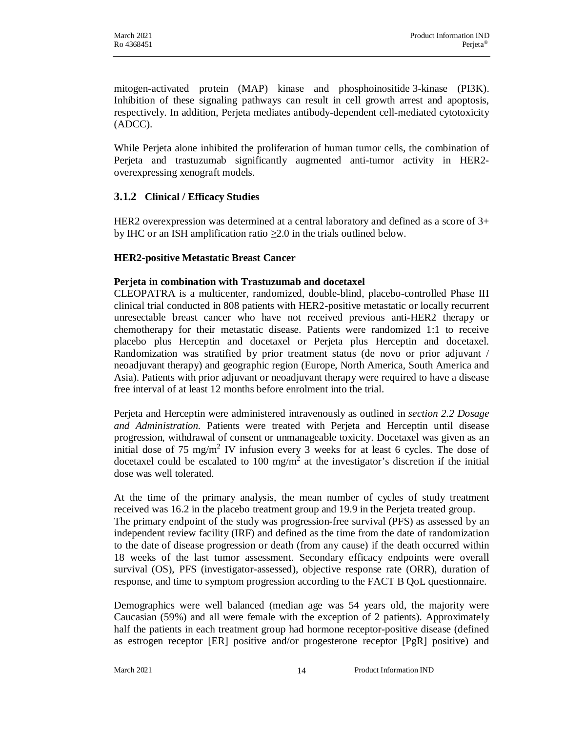mitogen-activated protein (MAP) kinase and phosphoinositide 3-kinase (PI3K). Inhibition of these signaling pathways can result in cell growth arrest and apoptosis, respectively. In addition, Perjeta mediates antibody-dependent cell-mediated cytotoxicity (ADCC).

While Perjeta alone inhibited the proliferation of human tumor cells, the combination of Perjeta and trastuzumab significantly augmented anti-tumor activity in HER2 overexpressing xenograft models.

## **3.1.2 Clinical / Efficacy Studies**

HER2 overexpression was determined at a central laboratory and defined as a score of  $3+$ by IHC or an ISH amplification ratio  $\geq 2.0$  in the trials outlined below.

## **HER2-positive Metastatic Breast Cancer**

#### **Perjeta in combination with Trastuzumab and docetaxel**

CLEOPATRA is a multicenter, randomized, double-blind, placebo-controlled Phase III clinical trial conducted in 808 patients with HER2-positive metastatic or locally recurrent unresectable breast cancer who have not received previous anti-HER2 therapy or chemotherapy for their metastatic disease. Patients were randomized 1:1 to receive placebo plus Herceptin and docetaxel or Perjeta plus Herceptin and docetaxel. Randomization was stratified by prior treatment status (de novo or prior adjuvant / neoadjuvant therapy) and geographic region (Europe, North America, South America and Asia). Patients with prior adjuvant or neoadjuvant therapy were required to have a disease free interval of at least 12 months before enrolment into the trial.

Perjeta and Herceptin were administered intravenously as outlined in *section 2.2 Dosage and Administration.* Patients were treated with Perjeta and Herceptin until disease progression, withdrawal of consent or unmanageable toxicity. Docetaxel was given as an initial dose of 75 mg/m<sup>2</sup> IV infusion every 3 weeks for at least 6 cycles. The dose of docetaxel could be escalated to 100 mg/m<sup>2</sup> at the investigator's discretion if the initial dose was well tolerated.

At the time of the primary analysis, the mean number of cycles of study treatment received was 16.2 in the placebo treatment group and 19.9 in the Perjeta treated group. The primary endpoint of the study was progression-free survival (PFS) as assessed by an independent review facility (IRF) and defined as the time from the date of randomization to the date of disease progression or death (from any cause) if the death occurred within 18 weeks of the last tumor assessment. Secondary efficacy endpoints were overall survival (OS), PFS (investigator-assessed), objective response rate (ORR), duration of response, and time to symptom progression according to the FACT B QoL questionnaire.

Demographics were well balanced (median age was 54 years old, the majority were Caucasian (59%) and all were female with the exception of 2 patients). Approximately half the patients in each treatment group had hormone receptor-positive disease (defined as estrogen receptor [ER] positive and/or progesterone receptor [PgR] positive) and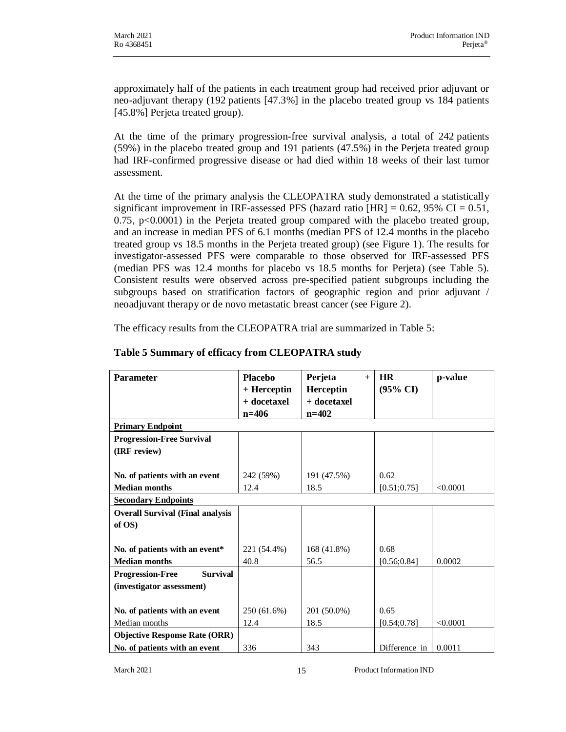approximately half of the patients in each treatment group had received prior adjuvant or neo-adjuvant therapy (192 patients [47.3%] in the placebo treated group vs 184 patients [45.8%] Perjeta treated group).

At the time of the primary progression-free survival analysis, a total of 242 patients (59%) in the placebo treated group and 191 patients (47.5%) in the Perjeta treated group had IRF-confirmed progressive disease or had died within 18 weeks of their last tumor assessment.

At the time of the primary analysis the CLEOPATRA study demonstrated a statistically significant improvement in IRF-assessed PFS (hazard ratio  $[HR] = 0.62$ , 95% CI = 0.51, 0.75,  $p<0.0001$ ) in the Perjeta treated group compared with the placebo treated group, and an increase in median PFS of 6.1 months (median PFS of 12.4 months in the placebo treated group vs 18.5 months in the Perjeta treated group) (see Figure 1). The results for investigator-assessed PFS were comparable to those observed for IRF-assessed PFS (median PFS was 12.4 months for placebo vs 18.5 months for Perjeta) (see Table 5). Consistent results were observed across pre-specified patient subgroups including the subgroups based on stratification factors of geographic region and prior adjuvant / neoadjuvant therapy or de novo metastatic breast cancer (see Figure 2).

The efficacy results from the CLEOPATRA trial are summarized in Table 5:

| <b>Parameter</b>                           | <b>Placebo</b> | Perjeta<br>$+$ | <b>HR</b>     | p-value  |
|--------------------------------------------|----------------|----------------|---------------|----------|
|                                            | + Herceptin    | Herceptin      | (95% CI)      |          |
|                                            | + docetaxel    | + docetaxel    |               |          |
|                                            | $n = 406$      | $n = 402$      |               |          |
| <b>Primary Endpoint</b>                    |                |                |               |          |
| <b>Progression-Free Survival</b>           |                |                |               |          |
| (IRF review)                               |                |                |               |          |
|                                            |                |                |               |          |
| No. of patients with an event              | 242 (59%)      | 191 (47.5%)    | 0.62          |          |
| <b>Median months</b>                       | 12.4           | 18.5           | [0.51; 0.75]  | < 0.0001 |
| <b>Secondary Endpoints</b>                 |                |                |               |          |
| <b>Overall Survival (Final analysis</b>    |                |                |               |          |
| of OS)                                     |                |                |               |          |
|                                            |                |                |               |          |
| No. of patients with an event*             | 221 (54.4%)    | 168 (41.8%)    | 0.68          |          |
| <b>Median months</b>                       | 40.8           | 56.5           | [0.56; 0.84]  | 0.0002   |
| <b>Survival</b><br><b>Progression-Free</b> |                |                |               |          |
| (investigator assessment)                  |                |                |               |          |
|                                            |                |                |               |          |
| No. of patients with an event              | 250 (61.6%)    | 201 (50.0%)    | 0.65          |          |
| Median months                              | 12.4           | 18.5           | [0.54; 0.78]  | < 0.0001 |
| <b>Objective Response Rate (ORR)</b>       |                |                |               |          |
| No. of patients with an event              | 336            | 343            | Difference in | 0.0011   |

#### **Table 5 Summary of efficacy from CLEOPATRA study**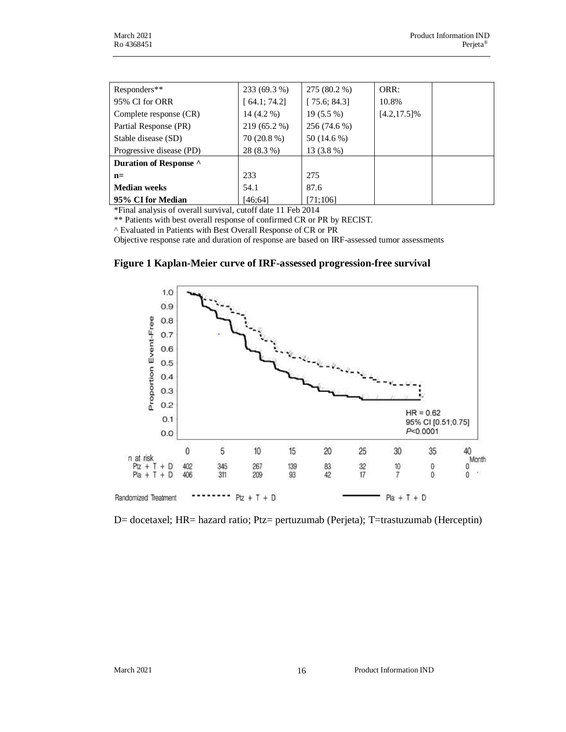| Responders**             | 233 (69.3 %) | 275 (80.2 %) | ORR:            |
|--------------------------|--------------|--------------|-----------------|
| 95% CI for ORR           | [64.1; 74.2] | [75.6; 84.3] | 10.8%           |
| Complete response (CR)   | $14(4.2\%)$  | $19(5.5\%)$  | $[4.2, 17.5]\%$ |
| Partial Response (PR)    | 219 (65.2 %) | 256 (74.6 %) |                 |
| Stable disease (SD)      | 70 (20.8 %)  | 50 (14.6 %)  |                 |
| Progressive disease (PD) | 28 (8.3 %)   | $13(3.8\%)$  |                 |
| Duration of Response ^   |              |              |                 |
| $n=$                     | 233          | 275          |                 |
| <b>Median weeks</b>      | 54.1         | 87.6         |                 |
| 95% CI for Median        | [46:64]      | [71;106]     |                 |

\*Final analysis of overall survival, cutoff date 11 Feb 2014

\*\* Patients with best overall response of confirmed CR or PR by RECIST.

^ Evaluated in Patients with Best Overall Response of CR or PR

Objective response rate and duration of response are based on IRF-assessed tumor assessments

#### **Figure 1 Kaplan-Meier curve of IRF-assessed progression-free survival**



D= docetaxel; HR= hazard ratio; Ptz= pertuzumab (Perjeta); T=trastuzumab (Herceptin)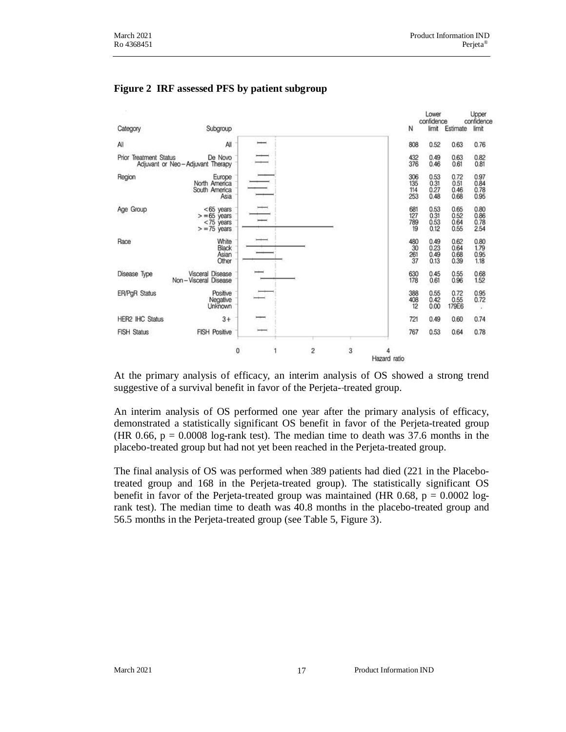

#### **Figure 2 IRF assessed PFS by patient subgroup**

At the primary analysis of efficacy, an interim analysis of OS showed a strong trend suggestive of a survival benefit in favor of the Perjeta- treated group.

An interim analysis of OS performed one year after the primary analysis of efficacy, demonstrated a statistically significant OS benefit in favor of the Perjeta-treated group (HR 0.66,  $p = 0.0008$  log-rank test). The median time to death was 37.6 months in the placebo-treated group but had not yet been reached in the Perjeta-treated group.

The final analysis of OS was performed when 389 patients had died (221 in the Placebotreated group and 168 in the Perjeta-treated group). The statistically significant OS benefit in favor of the Perjeta-treated group was maintained (HR 0.68,  $p = 0.0002$  logrank test). The median time to death was 40.8 months in the placebo-treated group and 56.5 months in the Perjeta-treated group (see Table 5, Figure 3).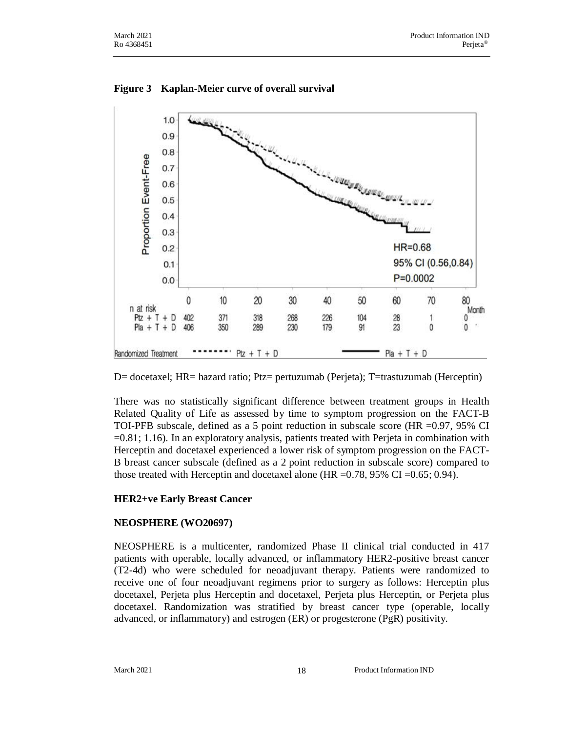

#### **Figure 3 Kaplan-Meier curve of overall survival**

D= docetaxel; HR= hazard ratio; Ptz= pertuzumab (Perjeta); T=trastuzumab (Herceptin)

There was no statistically significant difference between treatment groups in Health Related Quality of Life as assessed by time to symptom progression on the FACT-B TOI-PFB subscale, defined as a 5 point reduction in subscale score (HR =0.97, 95% CI =0.81; 1.16). In an exploratory analysis, patients treated with Perjeta in combination with Herceptin and docetaxel experienced a lower risk of symptom progression on the FACT-B breast cancer subscale (defined as a 2 point reduction in subscale score) compared to those treated with Herceptin and docetaxel alone (HR = $0.78$ , 95% CI = $0.65$ ; 0.94).

## **HER2+ve Early Breast Cancer**

#### **NEOSPHERE (WO20697)**

NEOSPHERE is a multicenter, randomized Phase II clinical trial conducted in 417 patients with operable, locally advanced, or inflammatory HER2-positive breast cancer (T2-4d) who were scheduled for neoadjuvant therapy. Patients were randomized to receive one of four neoadjuvant regimens prior to surgery as follows: Herceptin plus docetaxel, Perjeta plus Herceptin and docetaxel, Perjeta plus Herceptin, or Perjeta plus docetaxel. Randomization was stratified by breast cancer type (operable, locally advanced, or inflammatory) and estrogen (ER) or progesterone (PgR) positivity.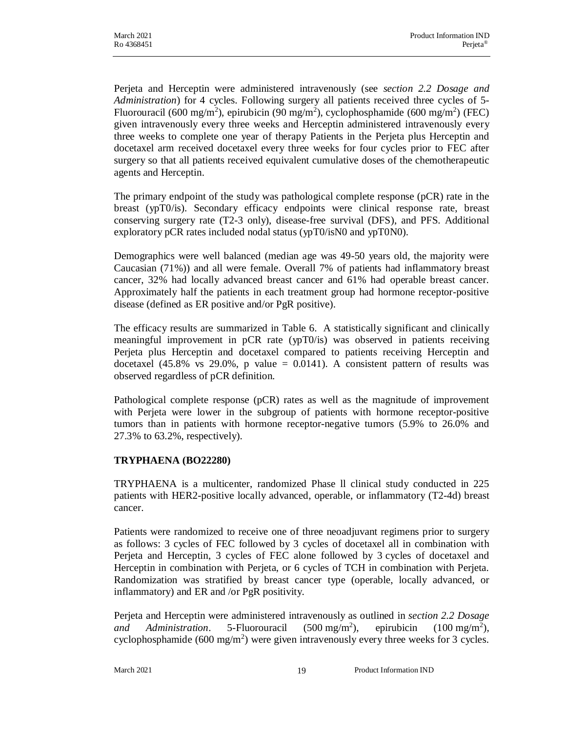Perjeta and Herceptin were administered intravenously (see *section 2.2 Dosage and Administration*) for 4 cycles. Following surgery all patients received three cycles of 5- Fluorouracil (600 mg/m<sup>2</sup>), epirubicin (90 mg/m<sup>2</sup>), cyclophosphamide (600 mg/m<sup>2</sup>) (FEC) given intravenously every three weeks and Herceptin administered intravenously every three weeks to complete one year of therapy Patients in the Perjeta plus Herceptin and docetaxel arm received docetaxel every three weeks for four cycles prior to FEC after surgery so that all patients received equivalent cumulative doses of the chemotherapeutic agents and Herceptin.

The primary endpoint of the study was pathological complete response (pCR) rate in the breast (ypT0/is). Secondary efficacy endpoints were clinical response rate, breast conserving surgery rate (T2-3 only), disease-free survival (DFS), and PFS. Additional exploratory pCR rates included nodal status (ypT0/isN0 and ypT0N0).

Demographics were well balanced (median age was 49-50 years old, the majority were Caucasian (71%)) and all were female. Overall 7% of patients had inflammatory breast cancer, 32% had locally advanced breast cancer and 61% had operable breast cancer. Approximately half the patients in each treatment group had hormone receptor-positive disease (defined as ER positive and/or PgR positive).

The efficacy results are summarized in Table 6. A statistically significant and clinically meaningful improvement in pCR rate (ypT0/is) was observed in patients receiving Perjeta plus Herceptin and docetaxel compared to patients receiving Herceptin and docetaxel (45.8% vs 29.0%, p value  $= 0.0141$ ). A consistent pattern of results was observed regardless of pCR definition.

Pathological complete response (pCR) rates as well as the magnitude of improvement with Perjeta were lower in the subgroup of patients with hormone receptor-positive tumors than in patients with hormone receptor-negative tumors (5.9% to 26.0% and 27.3% to 63.2%, respectively).

## **TRYPHAENA (BO22280)**

TRYPHAENA is a multicenter, randomized Phase ll clinical study conducted in 225 patients with HER2-positive locally advanced, operable, or inflammatory (T2-4d) breast cancer.

Patients were randomized to receive one of three neoadjuvant regimens prior to surgery as follows: 3 cycles of FEC followed by 3 cycles of docetaxel all in combination with Perjeta and Herceptin, 3 cycles of FEC alone followed by 3 cycles of docetaxel and Herceptin in combination with Perjeta, or 6 cycles of TCH in combination with Perjeta. Randomization was stratified by breast cancer type (operable, locally advanced, or inflammatory) and ER and /or PgR positivity.

Perjeta and Herceptin were administered intravenously as outlined in *section 2.2 Dosage and Administration*. 5-Fluorouracil (500 mg/m<sup>2</sup> ), epirubicin  $(100 \text{ mg/m}^2)$ , cyclophosphamide (600 mg/m<sup>2</sup>) were given intravenously every three weeks for 3 cycles.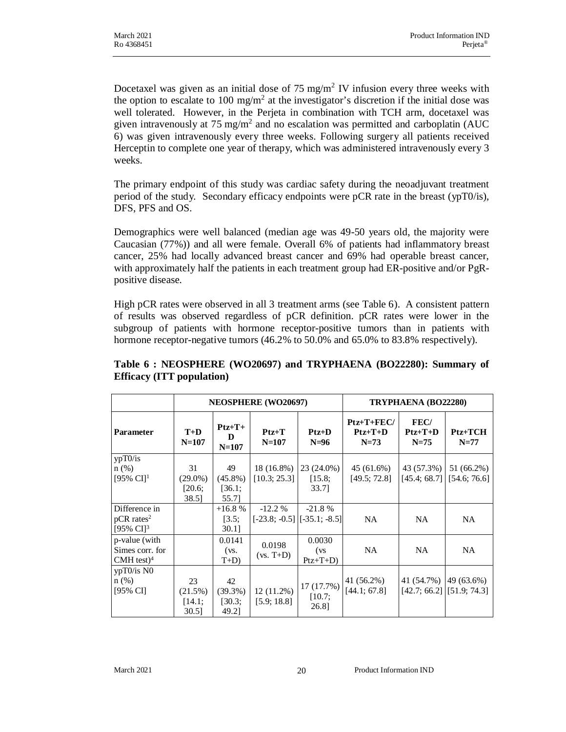Docetaxel was given as an initial dose of 75 mg/m<sup>2</sup> IV infusion every three weeks with the option to escalate to 100 mg/m<sup>2</sup> at the investigator's discretion if the initial dose was well tolerated. However, in the Perjeta in combination with TCH arm, docetaxel was given intravenously at 75 mg/m<sup>2</sup> and no escalation was permitted and carboplatin (AUC 6) was given intravenously every three weeks. Following surgery all patients received Herceptin to complete one year of therapy, which was administered intravenously every 3 weeks.

The primary endpoint of this study was cardiac safety during the neoadjuvant treatment period of the study. Secondary efficacy endpoints were pCR rate in the breast (ypT0/is), DFS, PFS and OS.

Demographics were well balanced (median age was 49-50 years old, the majority were Caucasian (77%)) and all were female. Overall 6% of patients had inflammatory breast cancer, 25% had locally advanced breast cancer and 69% had operable breast cancer, with approximately half the patients in each treatment group had ER-positive and/or PgRpositive disease.

High pCR rates were observed in all 3 treatment arms (see Table 6). A consistent pattern of results was observed regardless of pCR definition. pCR rates were lower in the subgroup of patients with hormone receptor-positive tumors than in patients with hormone receptor-negative tumors (46.2% to 50.0% and 65.0% to 83.8% respectively).

|                                                                               | <b>NEOSPHERE</b> (WO20697)          |                                     |                                             |                                 | TRYPHAENA (BO22280)                 |                                                      |                            |
|-------------------------------------------------------------------------------|-------------------------------------|-------------------------------------|---------------------------------------------|---------------------------------|-------------------------------------|------------------------------------------------------|----------------------------|
| <b>Parameter</b>                                                              | $T+D$<br>$N=107$                    | $Ptz+T+$<br>D<br>$N=107$            | $Ptz+T$<br>$N=107$                          | $Ptz+D$<br>$N=96$               | $Ptz+T+FEC/$<br>$Ptz+T+D$<br>$N=73$ | FEC/<br>$Ptz+T+D$<br>$N = 75$                        | $Ptz+TCH$<br>$N=77$        |
| ypT0/is<br>n(%)<br>[95% $CI1$                                                 | 31<br>$(29.0\%)$<br>[20.6;<br>38.5] | 49<br>$(45.8\%)$<br>[36.1;<br>55.71 | 18 (16.8%)<br>[10.3; 25.3]                  | $23(24.0\%)$<br>[15.8;<br>33.71 | 45 (61.6%)<br>[49.5; 72.8]          | 43 (57.3%)<br>[45.4; 68.7]                           | 51 (66.2%)<br>[54.6; 76.6] |
| Difference in<br>$pCR$ rates <sup>2</sup><br>$[95\% \text{ CI}]$ <sup>3</sup> |                                     | $+16.8%$<br>[3.5;<br>$30.1$ ]       | $-12.2%$<br>$[-23.8; -0.5]$ $[-35.1; -8.5]$ | $-21.8%$                        | <b>NA</b>                           | NA.                                                  | <b>NA</b>                  |
| p-value (with<br>Simes corr. for<br>$CMH$ test) <sup>4</sup>                  |                                     | 0.0141<br>$(vs)$ .<br>$T+D$         | 0.0198<br>$(vs. T+D)$                       | 0.0030<br>(vs)<br>$Ptz+T+D$     | <b>NA</b>                           | NA.                                                  | <b>NA</b>                  |
| $ypT0/is\ N0$<br>n(%)<br>[95% CI]                                             | 23<br>(21.5%)<br>[14.1;<br>30.51    | 42<br>$(39.3\%)$<br>[30.3;<br>49.21 | 12(11.2%)<br>[5.9; 18.8]                    | 17 (17.7%)<br>[10.7;<br>26.8]   | 41 (56.2%)<br>[44.1; 67.8]          | 41 (54.7%) 49 (63.6%)<br>$[42.7; 66.2]$ [51.9; 74.3] |                            |

## **Table 6 : NEOSPHERE (WO20697) and TRYPHAENA (BO22280): Summary of Efficacy (ITT population)**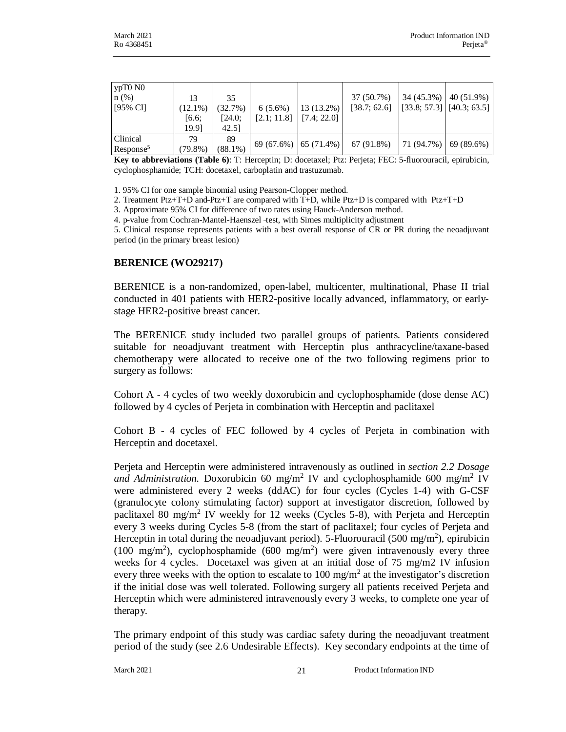| ypT0N0<br>n(%)<br>$[95\% \text{ CI}]$ | 13<br>$(12.1\%)$<br>[6.6;<br>19.91 | 35<br>(32.7%)<br>[24.0:<br>42.51 | $6(5.6\%)$<br>$[2.1; 11.8]$ $[7.4; 22.0]$ | $13(13.2\%)$              | 37 (50.7%)<br>[38.7; 62.6] |           | $34(45.3\%)$ 40 (51.9%)<br>$\begin{bmatrix} 33.8 \\ 57.3 \end{bmatrix}$ [40.3; 63.5] |
|---------------------------------------|------------------------------------|----------------------------------|-------------------------------------------|---------------------------|----------------------------|-----------|--------------------------------------------------------------------------------------|
| Clinical<br>Respose <sup>5</sup>      | 79<br>(79.8%)                      | 89<br>$(88.1\%)$                 |                                           | $69(67.6\%)$   65 (71.4%) | 67 (91.8%)                 | 71(94.7%) | 69 (89.6%)                                                                           |

**Key to abbreviations (Table 6)**: T: Herceptin; D: docetaxel; Ptz: Perjeta; FEC: 5-fluorouracil, epirubicin, cyclophosphamide; TCH: docetaxel, carboplatin and trastuzumab.

1. 95% CI for one sample binomial using Pearson-Clopper method.

2. Treatment Ptz+T+D and Ptz+T are compared with T+D, while Ptz+D is compared with Ptz+T+D

3. Approximate 95% CI for difference of two rates using Hauck-Anderson method.

4. p-value from Cochran-Mantel-Haenszel test, with Simes multiplicity adjustment

5. Clinical response represents patients with a best overall response of CR or PR during the neoadjuvant period (in the primary breast lesion)

#### **BERENICE (WO29217)**

BERENICE is a non-randomized, open-label, multicenter, multinational, Phase II trial conducted in 401 patients with HER2-positive locally advanced, inflammatory, or earlystage HER2-positive breast cancer.

The BERENICE study included two parallel groups of patients. Patients considered suitable for neoadjuvant treatment with Herceptin plus anthracycline/taxane-based chemotherapy were allocated to receive one of the two following regimens prior to surgery as follows:

Cohort A - 4 cycles of two weekly doxorubicin and cyclophosphamide (dose dense AC) followed by 4 cycles of Perjeta in combination with Herceptin and paclitaxel

Cohort B - 4 cycles of FEC followed by 4 cycles of Perjeta in combination with Herceptin and docetaxel.

Perjeta and Herceptin were administered intravenously as outlined in *section 2.2 Dosage* and Administration. Doxorubicin 60 mg/m<sup>2</sup> IV and cyclophosphamide 600 mg/m<sup>2</sup> IV were administered every 2 weeks (ddAC) for four cycles (Cycles 1-4) with G-CSF (granulocyte colony stimulating factor) support at investigator discretion, followed by paclitaxel 80 mg/m<sup>2</sup> IV weekly for 12 weeks (Cycles 5-8), with Perjeta and Herceptin every 3 weeks during Cycles 5-8 (from the start of paclitaxel; four cycles of Perjeta and Herceptin in total during the neoadjuvant period). 5-Fluorouracil (500 mg/m<sup>2</sup>), epirubicin (100 mg/m<sup>2</sup>), cyclophosphamide (600 mg/m<sup>2</sup>) were given intravenously every three weeks for 4 cycles. Docetaxel was given at an initial dose of 75 mg/m2 IV infusion every three weeks with the option to escalate to 100 mg/m<sup>2</sup> at the investigator's discretion if the initial dose was well tolerated. Following surgery all patients received Perjeta and Herceptin which were administered intravenously every 3 weeks, to complete one year of therapy.

The primary endpoint of this study was cardiac safety during the neoadjuvant treatment period of the study (see 2.6 Undesirable Effects). Key secondary endpoints at the time of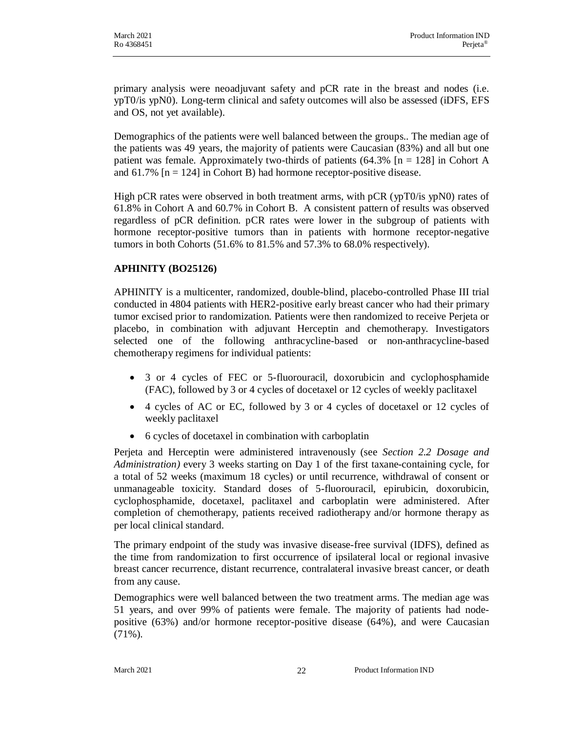primary analysis were neoadjuvant safety and pCR rate in the breast and nodes (i.e. ypT0/is ypN0). Long-term clinical and safety outcomes will also be assessed (iDFS, EFS and OS, not yet available).

Demographics of the patients were well balanced between the groups.. The median age of the patients was 49 years, the majority of patients were Caucasian (83%) and all but one patient was female. Approximately two-thirds of patients  $(64.3\%$  [n = 128] in Cohort A and  $61.7\%$  [n = 124] in Cohort B) had hormone receptor-positive disease.

High pCR rates were observed in both treatment arms, with pCR (ypT0/is ypN0) rates of 61.8% in Cohort A and 60.7% in Cohort B. A consistent pattern of results was observed regardless of pCR definition. pCR rates were lower in the subgroup of patients with hormone receptor-positive tumors than in patients with hormone receptor-negative tumors in both Cohorts (51.6% to 81.5% and 57.3% to 68.0% respectively).

## **APHINITY (BO25126)**

APHINITY is a multicenter, randomized, double-blind, placebo-controlled Phase III trial conducted in 4804 patients with HER2-positive early breast cancer who had their primary tumor excised prior to randomization. Patients were then randomized to receive Perjeta or placebo, in combination with adjuvant Herceptin and chemotherapy. Investigators selected one of the following anthracycline-based or non-anthracycline-based chemotherapy regimens for individual patients:

- · 3 or 4 cycles of FEC or 5-fluorouracil, doxorubicin and cyclophosphamide (FAC), followed by 3 or 4 cycles of docetaxel or 12 cycles of weekly paclitaxel
- · 4 cycles of AC or EC, followed by 3 or 4 cycles of docetaxel or 12 cycles of weekly paclitaxel
- · 6 cycles of docetaxel in combination with carboplatin

Perjeta and Herceptin were administered intravenously (see *Section 2.2 Dosage and Administration)* every 3 weeks starting on Day 1 of the first taxane-containing cycle, for a total of 52 weeks (maximum 18 cycles) or until recurrence, withdrawal of consent or unmanageable toxicity. Standard doses of 5-fluorouracil, epirubicin, doxorubicin, cyclophosphamide, docetaxel, paclitaxel and carboplatin were administered. After completion of chemotherapy, patients received radiotherapy and/or hormone therapy as per local clinical standard.

The primary endpoint of the study was invasive disease-free survival (IDFS), defined as the time from randomization to first occurrence of ipsilateral local or regional invasive breast cancer recurrence, distant recurrence, contralateral invasive breast cancer, or death from any cause.

Demographics were well balanced between the two treatment arms. The median age was 51 years, and over 99% of patients were female. The majority of patients had nodepositive (63%) and/or hormone receptor-positive disease (64%), and were Caucasian (71%).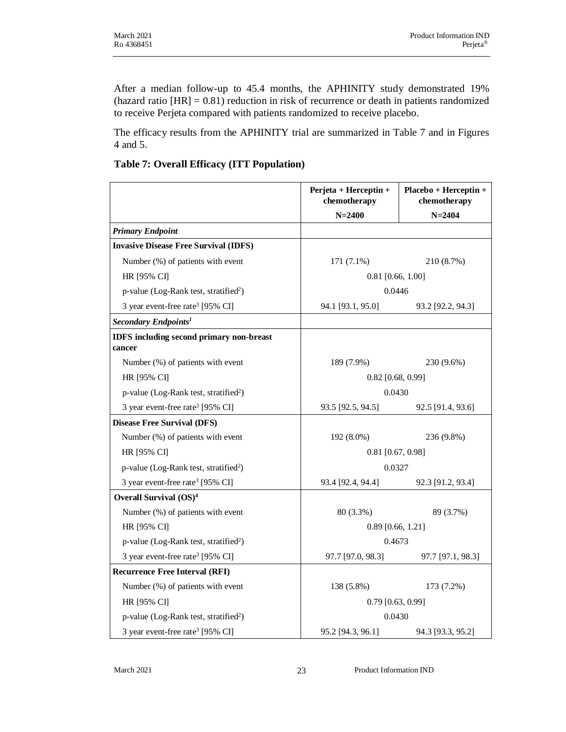After a median follow-up to 45.4 months, the APHINITY study demonstrated 19% (hazard ratio [HR] = 0.81) reduction in risk of recurrence or death in patients randomized to receive Perjeta compared with patients randomized to receive placebo.

The efficacy results from the APHINITY trial are summarized in Table 7 and in Figures 4 and 5.

**Table 7: Overall Efficacy (ITT Population)**

|                                                           | Perjeta + Herceptin +<br>chemotherapy | Placebo + Herceptin +<br>chemotherapy |  |
|-----------------------------------------------------------|---------------------------------------|---------------------------------------|--|
|                                                           | $N = 2400$                            | $N = 2404$                            |  |
| <b>Primary Endpoint</b>                                   |                                       |                                       |  |
| <b>Invasive Disease Free Survival (IDFS)</b>              |                                       |                                       |  |
| Number (%) of patients with event                         | $171(7.1\%)$                          | 210 (8.7%)                            |  |
| HR [95% CI]                                               | $0.81$ [0.66, 1.00]                   |                                       |  |
| p-value (Log-Rank test, stratified <sup>2</sup> )         | 0.0446                                |                                       |  |
| 3 year event-free rate <sup>3</sup> [95% CI]              | 94.1 [93.1, 95.0]                     | 93.2 [92.2, 94.3]                     |  |
| Secondary Endpoints <sup>1</sup>                          |                                       |                                       |  |
| <b>IDFS</b> including second primary non-breast<br>cancer |                                       |                                       |  |
| Number (%) of patients with event                         | 189 (7.9%)                            | 230 (9.6%)                            |  |
| HR [95% CI]                                               | $0.82$ [0.68, 0.99]                   |                                       |  |
| p-value (Log-Rank test, stratified <sup>2</sup> )         | 0.0430                                |                                       |  |
| 3 year event-free rate <sup>3</sup> [95% CI]              | 93.5 [92.5, 94.5]                     | 92.5 [91.4, 93.6]                     |  |
| <b>Disease Free Survival (DFS)</b>                        |                                       |                                       |  |
| Number (%) of patients with event                         | $192(8.0\%)$                          | 236 (9.8%)                            |  |
| HR [95% CI]                                               |                                       | $0.81$ [0.67, 0.98]                   |  |
| p-value (Log-Rank test, stratified <sup>2</sup> )         | 0.0327                                |                                       |  |
| 3 year event-free rate <sup>3</sup> [95% CI]              | 93.4 [92.4, 94.4]                     | 92.3 [91.2, 93.4]                     |  |
| Overall Survival (OS) <sup>4</sup>                        |                                       |                                       |  |
| Number (%) of patients with event                         | 80 (3.3%)                             | 89 (3.7%)                             |  |
| HR [95% CI]                                               | $0.89$ [0.66, 1.21]                   |                                       |  |
| p-value (Log-Rank test, stratified <sup>2</sup> )         | 0.4673                                |                                       |  |
| 3 year event-free rate <sup>3</sup> [95% CI]              | 97.7 [97.0, 98.3]                     | 97.7 [97.1, 98.3]                     |  |
| <b>Recurrence Free Interval (RFI)</b>                     |                                       |                                       |  |
| Number (%) of patients with event                         | 138 (5.8%)                            | 173 (7.2%)                            |  |
| HR [95% CI]                                               | $0.79$ [0.63, 0.99]                   |                                       |  |
| p-value (Log-Rank test, stratified <sup>2</sup> )         | 0.0430                                |                                       |  |
| 3 year event-free rate <sup>3</sup> [95% CI]              | 95.2 [94.3, 96.1]                     | 94.3 [93.3, 95.2]                     |  |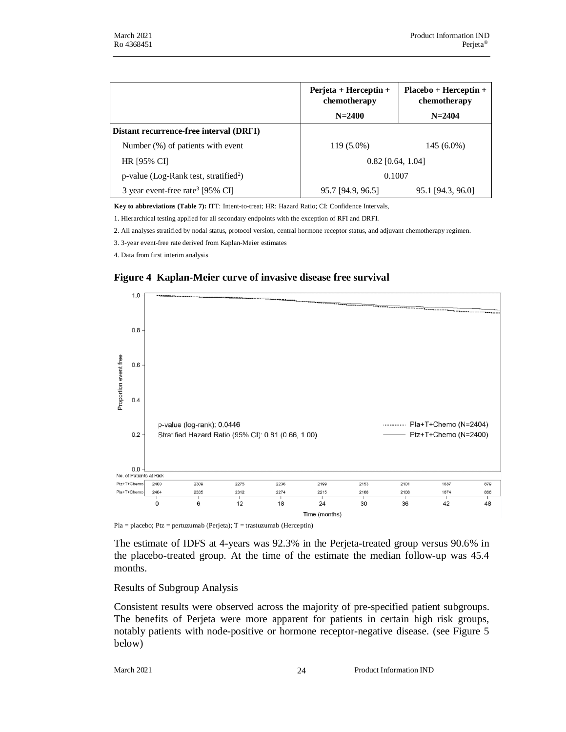|                                                   | $Perjeta + Herceptin +$<br>chemotherapy<br>$N = 2400$ | $Placebo + Herceptin +$<br>chemotherapy<br>$N = 2404$ |
|---------------------------------------------------|-------------------------------------------------------|-------------------------------------------------------|
| Distant recurrence-free interval (DRFI)           |                                                       |                                                       |
| Number (%) of patients with event                 | 119 (5.0%)                                            | $145(6.0\%)$                                          |
| HR [95% CI]                                       | $0.82$ [0.64, 1.04]                                   |                                                       |
| p-value (Log-Rank test, stratified <sup>2</sup> ) | 0.1007                                                |                                                       |
| 3 year event-free rate <sup>3</sup> [95% CI]      | 95.7 [94.9, 96.5]                                     | 95.1 [94.3, 96.0]                                     |

**Key to abbreviations (Table 7):** ITT: Intent-to-treat; HR: Hazard Ratio; CI: Confidence Intervals,

1. Hierarchical testing applied for all secondary endpoints with the exception of RFI and DRFI.

2. All analyses stratified by nodal status, protocol version, central hormone receptor status, and adjuvant chemotherapy regimen.

3. 3-year event-free rate derived from Kaplan-Meier estimates

4. Data from first interim analysis

#### **Figure 4 Kaplan-Meier curve of invasive disease free survival**



Pla = placebo; Ptz = pertuzumab (Perjeta);  $T =$  trastuzumab (Herceptin)

The estimate of IDFS at 4-years was 92.3% in the Perjeta-treated group versus 90.6% in the placebo-treated group. At the time of the estimate the median follow-up was 45.4 months.

#### Results of Subgroup Analysis

Consistent results were observed across the majority of pre-specified patient subgroups. The benefits of Perjeta were more apparent for patients in certain high risk groups, notably patients with node-positive or hormone receptor-negative disease. (see Figure 5 below)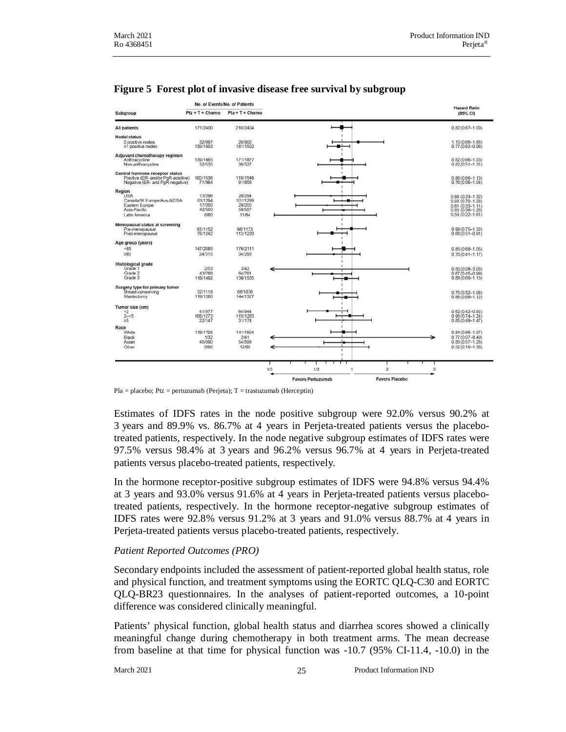|                                                                                                          | No. of Events/No. of Patients                 |                                                 |                                            | <b>Hazard Ratio</b>                                                                                          |
|----------------------------------------------------------------------------------------------------------|-----------------------------------------------|-------------------------------------------------|--------------------------------------------|--------------------------------------------------------------------------------------------------------------|
| Subgroup                                                                                                 | $Ptz + T + Chemo$                             | $Pla + T + Chemo$                               |                                            | (95% CI)                                                                                                     |
| All patients                                                                                             | 171/2400                                      | 210/2404                                        |                                            | $0.82(0.67 - 1.00)$                                                                                          |
| <b>Nodal status</b><br>0 positive nodes<br>≥1 positive nodes                                             | 32/897<br>139/1503                            | 29/902<br>181/1502                              |                                            | $1.13(0.68 - 1.86)$<br>$0.77(0.62 - 0.96)$                                                                   |
| Adjuvant chemotherapy regimen<br>Anthracycline<br>Non-anthracycline                                      | 139/1865<br>32/535                            | 171/1877<br>39/527                              |                                            | $0.82(0.66 - 1.03)$<br>$0.82(0.51 - 1.31)$                                                                   |
| Central hormone receptor status<br>Positive (ER- and/or PgR-positive)<br>Negative (ER- and PgR-negative) | 100/1536<br>71/864                            | 119/1546<br>91/858                              |                                            | $0.86(0.66 - 1.13)$<br>$0.76(0.56 - 1.04)$                                                                   |
| Region<br><b>USA</b><br>Canada/W Europe/Aus-NZ/SA<br>Eastern Europe<br>Asia-Pacific<br>Latin America     | 13/296<br>93/1294<br>17/200<br>42/550<br>6/60 | 20/294<br>101/1289<br>28/200<br>50/557<br>11/64 |                                            | $0.66(0.33 - 1.32)$<br>$0.93(0.70 - 1.23)$<br>$0.61(0.33 - 1.11)$<br>0.85 (0.56-1.28)<br>$0.59(0.22 - 1.61)$ |
| Menopausal status at screening<br>Pre-menopausal<br>Post-menopausal                                      | 93/1152<br>78/1242                            | 96/1173<br>113/1220                             |                                            | $0.99(0.75 - 1.32)$<br>$0.68(0.51 - 0.91)$                                                                   |
| Age group (years)                                                                                        |                                               |                                                 |                                            |                                                                                                              |
| < 65<br>265                                                                                              | 147/2085<br>24/315                            | 176/2111<br>34/293                              |                                            | $0.85(0.68 - 1.05)$<br>$0.70(0.41 - 1.17)$                                                                   |
| <b>Histological grade</b><br>Grade 1<br>Grade 2<br>Grade 3                                               | 2/53<br>43/768<br>118/1492                    | 3/42<br>64/761<br>136/1505                      |                                            | $0.50(0.08 - 3.03)$<br>$0.67(0.45 - 0.99)$<br>$0.88(0.69 - 1.13)$                                            |
| Surgery type for primary tumor<br>Breast-conserving<br>Mastectomy                                        | 52/1118<br>119/1280                           | 66/1076<br>144/1327                             |                                            | $0.75(0.52 - 1.08)$<br>$0.88(0.69 - 1.12)$                                                                   |
| Tumor size (cm)<br>$\leq$<br>$2 - 5$                                                                     | 41/977<br>108/1273                            | 64/944<br>115/1283                              |                                            | $0.62(0.42 - 0.92)$<br>$0.96(0.74 - 1.24)$                                                                   |
| $\geq 5$<br>Race                                                                                         | 22/147                                        | 31/174<br>141/1694                              |                                            | $0.85(0.49 - 1.47)$                                                                                          |
| White<br>Black<br>Asian<br>Other                                                                         | 118/1705<br>1/32<br>45/590<br>6/66            | 2/41<br>54/598<br>12/69                         |                                            | $0.84(0.66 - 1.07)$<br>$0.77(0.07 - 8.49)$<br>$0.85(0.57 - 1.26)$<br>$0.52(0.19 - 1.38)$                     |
|                                                                                                          |                                               |                                                 | 1/5<br>$\overline{\mathbf{2}}$<br>1/2<br>1 | 5                                                                                                            |
|                                                                                                          |                                               |                                                 | <b>Favors Pertuzumab</b>                   | <b>Favors Placebo</b>                                                                                        |

#### **Figure 5 Forest plot of invasive disease free survival by subgroup**

Pla = placebo; Ptz = pertuzumab (Perjeta); T = trastuzumab (Herceptin)

Estimates of IDFS rates in the node positive subgroup were 92.0% versus 90.2% at 3 years and 89.9% vs. 86.7% at 4 years in Perjeta-treated patients versus the placebotreated patients, respectively. In the node negative subgroup estimates of IDFS rates were 97.5% versus 98.4% at 3 years and 96.2% versus 96.7% at 4 years in Perjeta-treated patients versus placebo-treated patients, respectively.

In the hormone receptor-positive subgroup estimates of IDFS were 94.8% versus 94.4% at 3 years and 93.0% versus 91.6% at 4 years in Perjeta-treated patients versus placebotreated patients, respectively. In the hormone receptor-negative subgroup estimates of IDFS rates were 92.8% versus 91.2% at 3 years and 91.0% versus 88.7% at 4 years in Perjeta-treated patients versus placebo-treated patients, respectively.

#### *Patient Reported Outcomes (PRO)*

Secondary endpoints included the assessment of patient-reported global health status, role and physical function, and treatment symptoms using the EORTC QLQ-C30 and EORTC QLQ-BR23 questionnaires. In the analyses of patient-reported outcomes, a 10-point difference was considered clinically meaningful.

Patients' physical function, global health status and diarrhea scores showed a clinically meaningful change during chemotherapy in both treatment arms. The mean decrease from baseline at that time for physical function was -10.7 (95% CI-11.4, -10.0) in the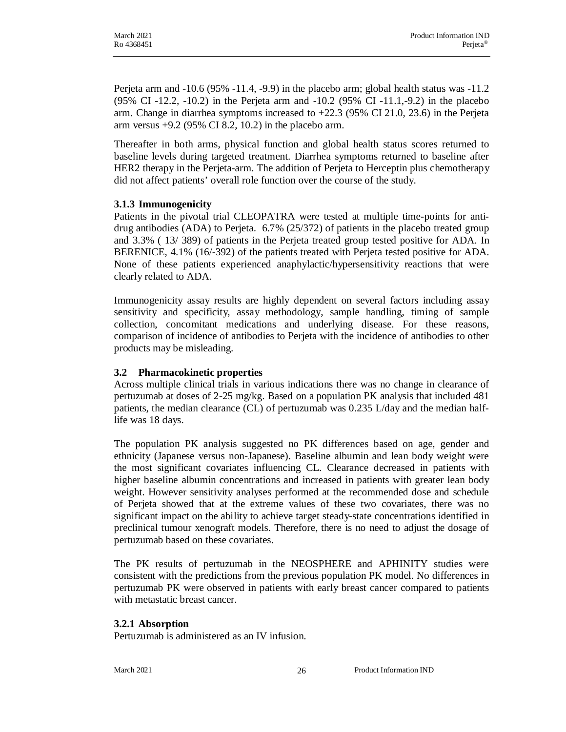Perjeta arm and -10.6 (95% -11.4, -9.9) in the placebo arm; global health status was -11.2 (95% CI -12.2, -10.2) in the Perjeta arm and -10.2 (95% CI -11.1,-9.2) in the placebo arm. Change in diarrhea symptoms increased to +22.3 (95% CI 21.0, 23.6) in the Perjeta arm versus +9.2 (95% CI 8.2, 10.2) in the placebo arm.

Thereafter in both arms, physical function and global health status scores returned to baseline levels during targeted treatment. Diarrhea symptoms returned to baseline after HER2 therapy in the Perjeta-arm. The addition of Perjeta to Herceptin plus chemotherapy did not affect patients' overall role function over the course of the study.

#### **3.1.3 Immunogenicity**

Patients in the pivotal trial CLEOPATRA were tested at multiple time-points for antidrug antibodies (ADA) to Perjeta. 6.7% (25/372) of patients in the placebo treated group and 3.3% ( 13/ 389) of patients in the Perjeta treated group tested positive for ADA. In BERENICE, 4.1% (16/-392) of the patients treated with Perjeta tested positive for ADA. None of these patients experienced anaphylactic/hypersensitivity reactions that were clearly related to ADA.

Immunogenicity assay results are highly dependent on several factors including assay sensitivity and specificity, assay methodology, sample handling, timing of sample collection, concomitant medications and underlying disease. For these reasons, comparison of incidence of antibodies to Perjeta with the incidence of antibodies to other products may be misleading.

#### **3.2 Pharmacokinetic properties**

Across multiple clinical trials in various indications there was no change in clearance of pertuzumab at doses of 2-25 mg/kg. Based on a population PK analysis that included 481 patients, the median clearance (CL) of pertuzumab was 0.235 L/day and the median halflife was 18 days.

The population PK analysis suggested no PK differences based on age, gender and ethnicity (Japanese versus non-Japanese). Baseline albumin and lean body weight were the most significant covariates influencing CL. Clearance decreased in patients with higher baseline albumin concentrations and increased in patients with greater lean body weight. However sensitivity analyses performed at the recommended dose and schedule of Perjeta showed that at the extreme values of these two covariates, there was no significant impact on the ability to achieve target steady-state concentrations identified in preclinical tumour xenograft models. Therefore, there is no need to adjust the dosage of pertuzumab based on these covariates.

The PK results of pertuzumab in the NEOSPHERE and APHINITY studies were consistent with the predictions from the previous population PK model. No differences in pertuzumab PK were observed in patients with early breast cancer compared to patients with metastatic breast cancer.

#### **3.2.1 Absorption**

Pertuzumab is administered as an IV infusion.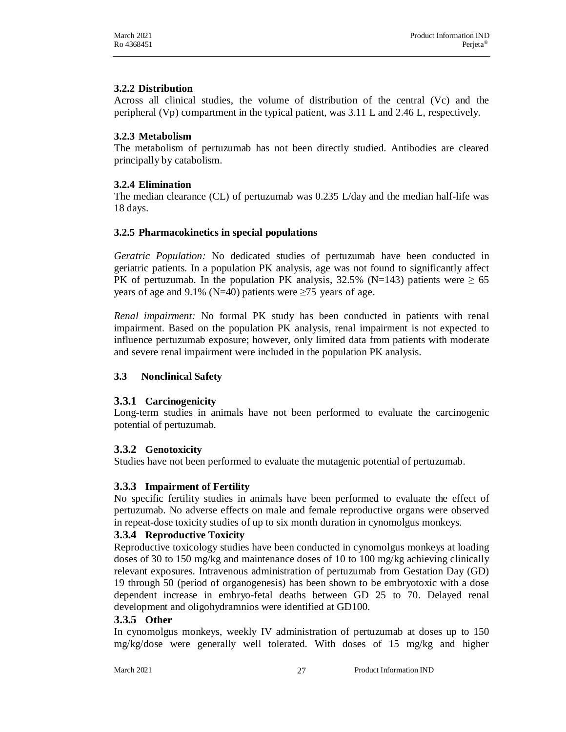## **3.2.2 Distribution**

Across all clinical studies, the volume of distribution of the central (Vc) and the peripheral (Vp) compartment in the typical patient, was 3.11 L and 2.46 L, respectively.

## **3.2.3 Metabolism**

The metabolism of pertuzumab has not been directly studied. Antibodies are cleared principally by catabolism.

## **3.2.4 Elimination**

The median clearance (CL) of pertuzumab was 0.235 L/day and the median half-life was 18 days.

#### **3.2.5 Pharmacokinetics in special populations**

*Geratric Population:* No dedicated studies of pertuzumab have been conducted in geriatric patients. In a population PK analysis, age was not found to significantly affect PK of pertuzumab. In the population PK analysis, 32.5% (N=143) patients were  $\geq 65$ years of age and 9.1% (N=40) patients were  $\geq$ 75 years of age.

*Renal impairment:* No formal PK study has been conducted in patients with renal impairment. Based on the population PK analysis, renal impairment is not expected to influence pertuzumab exposure; however, only limited data from patients with moderate and severe renal impairment were included in the population PK analysis.

## **3.3 Nonclinical Safety**

## **3.3.1 Carcinogenicity**

Long-term studies in animals have not been performed to evaluate the carcinogenic potential of pertuzumab.

## **3.3.2 Genotoxicity**

Studies have not been performed to evaluate the mutagenic potential of pertuzumab.

## **3.3.3 Impairment of Fertility**

No specific fertility studies in animals have been performed to evaluate the effect of pertuzumab. No adverse effects on male and female reproductive organs were observed in repeat-dose toxicity studies of up to six month duration in cynomolgus monkeys.

## **3.3.4 Reproductive Toxicity**

Reproductive toxicology studies have been conducted in cynomolgus monkeys at loading doses of 30 to 150 mg/kg and maintenance doses of 10 to 100 mg/kg achieving clinically relevant exposures. Intravenous administration of pertuzumab from Gestation Day (GD) 19 through 50 (period of organogenesis) has been shown to be embryotoxic with a dose dependent increase in embryo-fetal deaths between GD 25 to 70. Delayed renal development and oligohydramnios were identified at GD100.

## **3.3.5 Other**

In cynomolgus monkeys, weekly IV administration of pertuzumab at doses up to 150 mg/kg/dose were generally well tolerated. With doses of 15 mg/kg and higher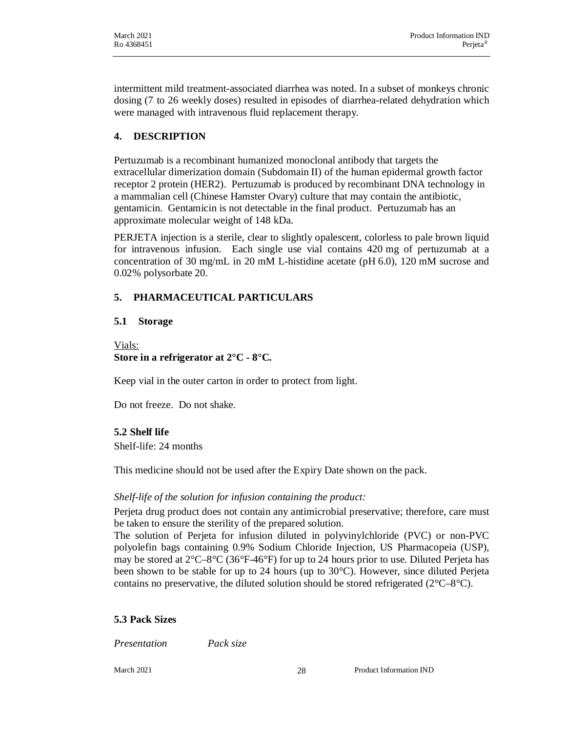intermittent mild treatment-associated diarrhea was noted. In a subset of monkeys chronic dosing (7 to 26 weekly doses) resulted in episodes of diarrhea-related dehydration which were managed with intravenous fluid replacement therapy.

## **4. DESCRIPTION**

Pertuzumab is a recombinant humanized monoclonal antibody that targets the extracellular dimerization domain (Subdomain II) of the human epidermal growth factor receptor 2 protein (HER2). Pertuzumab is produced by recombinant DNA technology in a mammalian cell (Chinese Hamster Ovary) culture that may contain the antibiotic, gentamicin. Gentamicin is not detectable in the final product. Pertuzumab has an approximate molecular weight of 148 kDa.

PERJETA injection is a sterile, clear to slightly opalescent, colorless to pale brown liquid for intravenous infusion. Each single use vial contains 420 mg of pertuzumab at a concentration of 30 mg/mL in 20 mM L-histidine acetate (pH 6.0), 120 mM sucrose and 0.02% polysorbate 20.

## **5. PHARMACEUTICAL PARTICULARS**

#### **5.1 Storage**

Vials: **Store in a refrigerator at 2°C - 8°C.**

Keep vial in the outer carton in order to protect from light.

Do not freeze. Do not shake.

## **5.2 Shelf life**

Shelf-life: 24 months

This medicine should not be used after the Expiry Date shown on the pack.

## *Shelf-life of the solution for infusion containing the product:*

Perjeta drug product does not contain any antimicrobial preservative; therefore, care must be taken to ensure the sterility of the prepared solution.

The solution of Perjeta for infusion diluted in polyvinylchloride (PVC) or non-PVC polyolefin bags containing 0.9% Sodium Chloride Injection, US Pharmacopeia (USP), may be stored at 2°C–8°C (36°F-46°F) for up to 24 hours prior to use. Diluted Perjeta has been shown to be stable for up to 24 hours (up to 30°C). However, since diluted Perjeta contains no preservative, the diluted solution should be stored refrigerated ( $2^{\circ}C-8^{\circ}C$ ).

## **5.3 Pack Sizes**

*Presentation Pack size*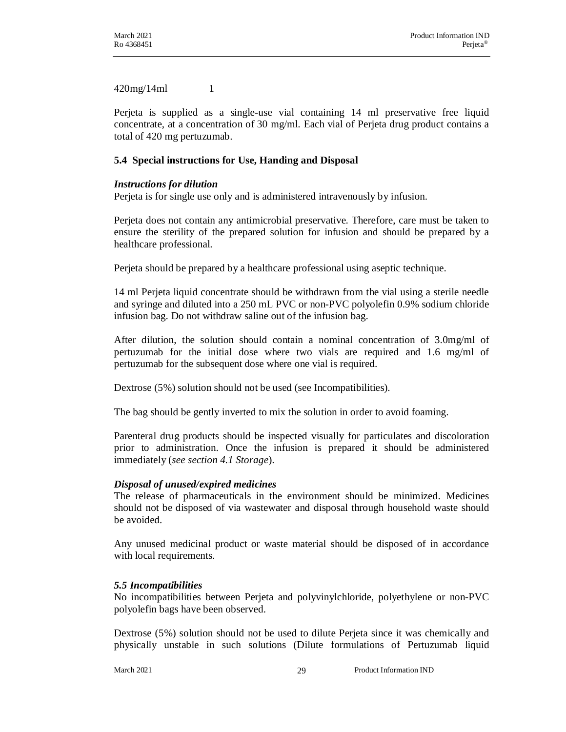420mg/14ml 1

Perjeta is supplied as a single-use vial containing 14 ml preservative free liquid concentrate, at a concentration of 30 mg/ml. Each vial of Perjeta drug product contains a total of 420 mg pertuzumab.

## **5.4 Special instructions for Use, Handing and Disposal**

## *Instructions for dilution*

Perjeta is for single use only and is administered intravenously by infusion.

Perjeta does not contain any antimicrobial preservative. Therefore, care must be taken to ensure the sterility of the prepared solution for infusion and should be prepared by a healthcare professional.

Perjeta should be prepared by a healthcare professional using aseptic technique.

14 ml Perjeta liquid concentrate should be withdrawn from the vial using a sterile needle and syringe and diluted into a 250 mL PVC or non-PVC polyolefin 0.9% sodium chloride infusion bag. Do not withdraw saline out of the infusion bag.

After dilution, the solution should contain a nominal concentration of 3.0mg/ml of pertuzumab for the initial dose where two vials are required and 1.6 mg/ml of pertuzumab for the subsequent dose where one vial is required.

Dextrose (5%) solution should not be used (see Incompatibilities).

The bag should be gently inverted to mix the solution in order to avoid foaming.

Parenteral drug products should be inspected visually for particulates and discoloration prior to administration. Once the infusion is prepared it should be administered immediately (*see section 4.1 Storage*).

## *Disposal of unused/expired medicines*

The release of pharmaceuticals in the environment should be minimized. Medicines should not be disposed of via wastewater and disposal through household waste should be avoided.

Any unused medicinal product or waste material should be disposed of in accordance with local requirements.

## *5.5 Incompatibilities*

No incompatibilities between Perjeta and polyvinylchloride, polyethylene or non-PVC polyolefin bags have been observed.

Dextrose (5%) solution should not be used to dilute Perjeta since it was chemically and physically unstable in such solutions (Dilute formulations of Pertuzumab liquid